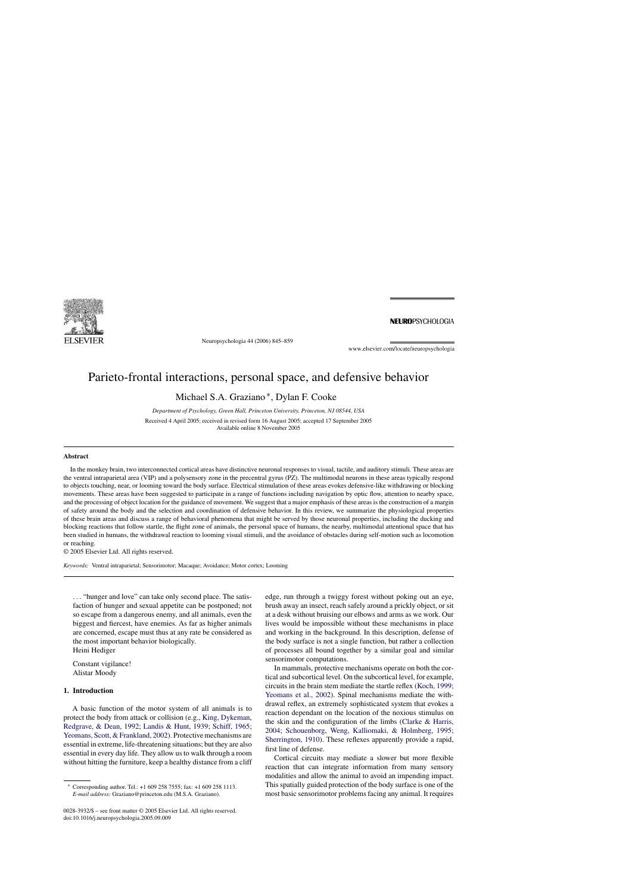

Neuropsychologia 44 (2006) 845–859

NEUROPSYCHOLOGIA

www.elsevier.com/locate/neuropsychologia

# Parieto-frontal interactions, personal space, and defensive behavior

Michael S.A. Graziano ∗, Dylan F. Cooke

*Department of Psychology, Green Hall, Princeton University, Princeton, NJ 08544, USA* Received 4 April 2005; received in revised form 16 August 2005; accepted 17 September 2005 Available online 8 November 2005

### **Abstract**

In the monkey brain, two interconnected cortical areas have distinctive neuronal responses to visual, tactile, and auditory stimuli. These areas are the ventral intraparietal area (VIP) and a polysensory zone in the precentral gyrus (PZ). The multimodal neurons in these areas typically respond to objects touching, near, or looming toward the body surface. Electrical stimulation of these areas evokes defensive-like withdrawing or blocking movements. These areas have been suggested to participate in a range of functions including navigation by optic flow, attention to nearby space, and the processing of object location for the guidance of movement. We suggest that a major emphasis of these areas is the construction of a margin of safety around the body and the selection and coordination of defensive behavior. In this review, we summarize the physiological properties of these brain areas and discuss a range of behavioral phenomena that might be served by those neuronal properties, including the ducking and blocking reactions that follow startle, the flight zone of animals, the personal space of humans, the nearby, multimodal attentional space that has been studied in humans, the withdrawal reaction to looming visual stimuli, and the avoidance of obstacles during self-motion such as locomotion or reaching.

© 2005 Elsevier Ltd. All rights reserved.

*Keywords:* Ventral intraparietal; Sensorimotor; Macaque; Avoidance; Motor cortex; Looming

... "hunger and love" can take only second place. The satisfaction of hunger and sexual appetite can be postponed; not so escape from a dangerous enemy, and all animals, even the biggest and fiercest, have enemies. As far as higher animals are concerned, escape must thus at any rate be considered as the most important behavior biologically.

Heini Hediger

Constant vigilance! Alistar Moody

# **1. Introduction**

A basic function of the motor system of all animals is to protect the body from attack or collision (e.g., [King, Dykeman,](#page-12-0) [Redgrave, & Dean, 1992;](#page-12-0) [Landis & Hunt, 1939;](#page-13-0) [Schiff, 1965;](#page-14-0) [Yeomans, Scott, & Frankland, 2002\).](#page-14-0) Protective mechanisms are essential in extreme, life-threatening situations; but they are also essential in every day life. They allow us to walk through a room without hitting the furniture, keep a healthy distance from a cliff

0028-3932/\$ – see front matter © 2005 Elsevier Ltd. All rights reserved. doi:10.1016/j.neuropsychologia.2005.09.009

edge, run through a twiggy forest without poking out an eye, brush away an insect, reach safely around a prickly object, or sit at a desk without bruising our elbows and arms as we work. Our lives would be impossible without these mechanisms in place and working in the background. In this description, defense of the body surface is not a single function, but rather a collection of processes all bound together by a similar goal and similar sensorimotor computations.

In mammals, protective mechanisms operate on both the cortical and subcortical level. On the subcortical level, for example, circuits in the brain stem mediate the startle reflex [\(Koch, 1999;](#page-13-0) [Yeomans et al., 2002\).](#page-13-0) Spinal mechanisms mediate the withdrawal reflex, an extremely sophisticated system that evokes a reaction dependant on the location of the noxious stimulus on the skin and the configuration of the limbs [\(Clarke & Harris,](#page-12-0) [2004;](#page-12-0) [Schouenborg, Weng, Kalliomaki, & Holmberg, 1995;](#page-13-0) [Sherrington, 1910\).](#page-14-0) These reflexes apparently provide a rapid, first line of defense.

Cortical circuits may mediate a slower but more flexible reaction that can integrate information from many sensory modalities and allow the animal to avoid an impending impact. This spatially guided protection of the body surface is one of the most basic sensorimotor problems facing any animal. It requires

<sup>∗</sup> Corresponding author. Tel.: +1 609 258 7555; fax: +1 609 258 1113. *E-mail address:* Graziano@princeton.edu (M.S.A. Graziano).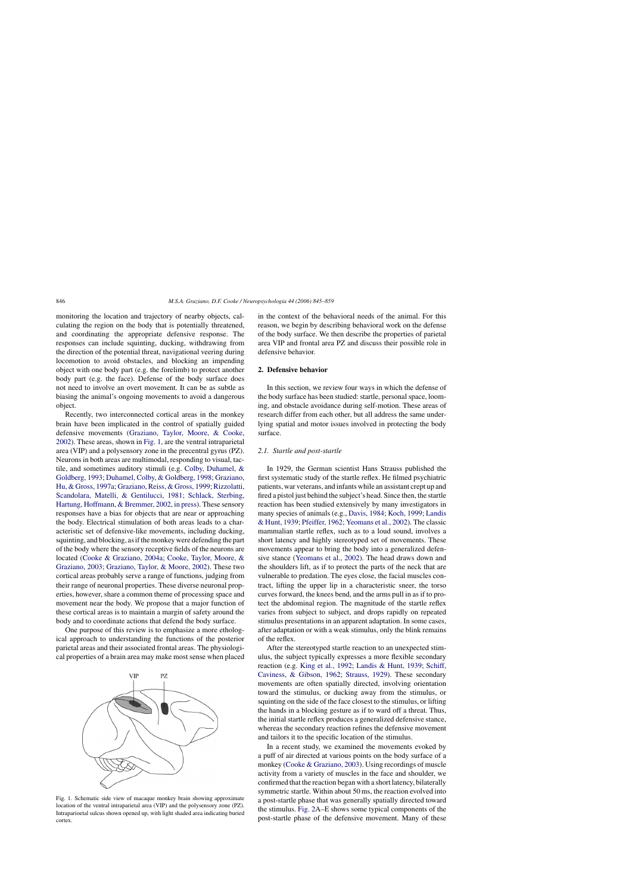monitoring the location and trajectory of nearby objects, calculating the region on the body that is potentially threatened, and coordinating the appropriate defensive response. The responses can include squinting, ducking, withdrawing from the direction of the potential threat, navigational veering during locomotion to avoid obstacles, and blocking an impending object with one body part (e.g. the forelimb) to protect another body part (e.g. the face). Defense of the body surface does not need to involve an overt movement. It can be as subtle as biasing the animal's ongoing movements to avoid a dangerous object.

Recently, two interconnected cortical areas in the monkey brain have been implicated in the control of spatially guided defensive movements [\(Graziano, Taylor, Moore, & Cooke,](#page-13-0) [2002\).](#page-13-0) These areas, shown in Fig. 1, are the ventral intraparietal area (VIP) and a polysensory zone in the precentral gyrus (PZ). Neurons in both areas are multimodal, responding to visual, tactile, and sometimes auditory stimuli (e.g. [Colby, Duhamel, &](#page-12-0) [Goldberg, 1993;](#page-12-0) [Duhamel, Colby, & Goldberg, 1998;](#page-12-0) [Graziano,](#page-13-0) [Hu, & Gross, 1997a;](#page-13-0) [Graziano, Reiss, & Gross, 1999;](#page-13-0) [Rizzolatti,](#page-14-0) [Scandolara, Matelli, & Gentilucci, 1981;](#page-14-0) [Schlack, Sterbing,](#page-14-0) [Hartung, Hoffmann, & Bremmer, 2002, in press\).](#page-14-0) These sensory responses have a bias for objects that are near or approaching the body. Electrical stimulation of both areas leads to a characteristic set of defensive-like movements, including ducking, squinting, and blocking, as if the monkey were defending the part of the body where the sensory receptive fields of the neurons are located [\(Cooke & Graziano, 2004a;](#page-12-0) [Cooke, Taylor, Moore, &](#page-12-0) [Graziano, 2003;](#page-12-0) [Graziano, Taylor, & Moore, 2002\).](#page-13-0) These two cortical areas probably serve a range of functions, judging from their range of neuronal properties. These diverse neuronal properties, however, share a common theme of processing space and movement near the body. We propose that a major function of these cortical areas is to maintain a margin of safety around the body and to coordinate actions that defend the body surface.

One purpose of this review is to emphasize a more ethological approach to understanding the functions of the posterior parietal areas and their associated frontal areas. The physiological properties of a brain area may make most sense when placed



Fig. 1. Schematic side view of macaque monkey brain showing approximate location of the ventral intraparietal area (VIP) and the polysensory zone (PZ). Intraparioetal sulcus shown opened up, with light shaded area indicating buried cortex.

in the context of the behavioral needs of the animal. For this reason, we begin by describing behavioral work on the defense of the body surface. We then describe the properties of parietal area VIP and frontal area PZ and discuss their possible role in defensive behavior.

# **2. Defensive behavior**

In this section, we review four ways in which the defense of the body surface has been studied: startle, personal space, looming, and obstacle avoidance during self-motion. These areas of research differ from each other, but all address the same underlying spatial and motor issues involved in protecting the body surface.

# *2.1. Startle and post-startle*

In 1929, the German scientist Hans Strauss published the first systematic study of the startle reflex. He filmed psychiatric patients, war veterans, and infants while an assistant crept up and fired a pistol just behind the subject's head. Since then, the startle reaction has been studied extensively by many investigators in many species of animals (e.g., [Davis, 1984; Koch, 1999;](#page-12-0) [Landis](#page-13-0) [& Hunt, 1939;](#page-13-0) [Pfeiffer, 1962; Yeomans et al., 2002\).](#page-14-0) The classic mammalian startle reflex, such as to a loud sound, involves a short latency and highly stereotyped set of movements. These movements appear to bring the body into a generalized defensive stance ([Yeomans et al., 2002\).](#page-14-0) The head draws down and the shoulders lift, as if to protect the parts of the neck that are vulnerable to predation. The eyes close, the facial muscles contract, lifting the upper lip in a characteristic sneer, the torso curves forward, the knees bend, and the arms pull in as if to protect the abdominal region. The magnitude of the startle reflex varies from subject to subject, and drops rapidly on repeated stimulus presentations in an apparent adaptation. In some cases, after adaptation or with a weak stimulus, only the blink remains of the reflex.

After the stereotyped startle reaction to an unexpected stimulus, the subject typically expresses a more flexible secondary reaction (e.g. [King et al., 1992;](#page-13-0) [Landis & Hunt, 1939;](#page-13-0) [Schiff,](#page-14-0) [Caviness, & Gibson, 1962;](#page-14-0) [Strauss, 1929\).](#page-14-0) These secondary movements are often spatially directed, involving orientation toward the stimulus, or ducking away from the stimulus, or squinting on the side of the face closest to the stimulus, or lifting the hands in a blocking gesture as if to ward off a threat. Thus, the initial startle reflex produces a generalized defensive stance, whereas the secondary reaction refines the defensive movement and tailors it to the specific location of the stimulus.

In a recent study, we examined the movements evoked by a puff of air directed at various points on the body surface of a monkey ([Cooke & Graziano, 2003\).](#page-12-0) Using recordings of muscle activity from a variety of muscles in the face and shoulder, we confirmed that the reaction began with a short latency, bilaterally symmetric startle. Within about 50 ms, the reaction evolved into a post-startle phase that was generally spatially directed toward the stimulus. [Fig. 2A](#page-2-0)–E shows some typical components of the post-startle phase of the defensive movement. Many of these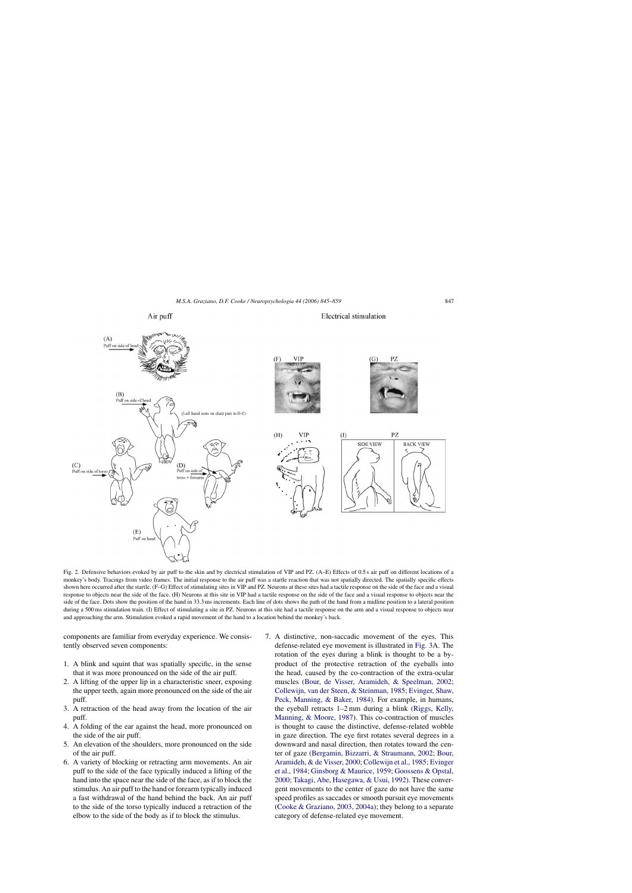<span id="page-2-0"></span>

Fig. 2. Defensive behaviors evoked by air puff to the skin and by electrical stimulation of VIP and PZ. (A–E) Effects of 0.5 s air puff on different locations of a monkey's body. Tracings from video frames. The initial response to the air puff was a startle reaction that was not spatially directed. The spatially specific effects shown here occurred after the startle. (F-G) Effect of stimulating sites in VIP and PZ. Neurons at these sites had a tactile response on the side of the face and a visual response to objects near the side of the face. (H) Neurons at this site in VIP had a tactile response on the side of the face and a visual response to objects near the side of the face. Dots show the position of the hand in 33.3 ms increments. Each line of dots shows the path of the hand from a midline position to a lateral position during a 500 ms stimulation train. (I) Effect of stimulating a site in PZ. Neurons at this site had a tactile response on the arm and a visual response to objects near and approaching the arm. Stimulation evoked a rapid movement of the hand to a location behind the monkey's back.

components are familiar from everyday experience. We consistently observed seven components:

- 1. A blink and squint that was spatially specific, in the sense that it was more pronounced on the side of the air puff.
- 2. A lifting of the upper lip in a characteristic sneer, exposing the upper teeth, again more pronounced on the side of the air puff.
- 3. A retraction of the head away from the location of the air puff.
- 4. A folding of the ear against the head, more pronounced on the side of the air puff.
- 5. An elevation of the shoulders, more pronounced on the side of the air puff.
- 6. A variety of blocking or retracting arm movements. An air puff to the side of the face typically induced a lifting of the hand into the space near the side of the face, as if to block the stimulus. An air puff to the hand or forearm typically induced a fast withdrawal of the hand behind the back. An air puff to the side of the torso typically induced a retraction of the elbow to the side of the body as if to block the stimulus.
- 7. A distinctive, non-saccadic movement of the eyes. This defense-related eye movement is illustrated in [Fig. 3A](#page-3-0). The rotation of the eyes during a blink is thought to be a byproduct of the protective retraction of the eyeballs into the head, caused by the co-contraction of the extra-ocular muscles ([Bour, de Visser, Aramideh, & Speelman, 2002;](#page-12-0) [Collewijn, van der Steen, & Steinman, 1985;](#page-12-0) [Evinger, Shaw,](#page-12-0) [Peck, Manning, & Baker, 1984\).](#page-12-0) For example, in humans, the eyeball retracts 1–2 mm during a blink [\(Riggs, Kelly,](#page-12-0) [Manning, & Moore, 1987\).](#page-12-0) This co-contraction of muscles is thought to cause the distinctive, defense-related wobble in gaze direction. The eye first rotates several degrees in a downward and nasal direction, then rotates toward the center of gaze ([Bergamin, Bizzarri, & Straumann, 2002;](#page-12-0) [Bour,](#page-12-0) [Aramideh, & de Visser, 2000;](#page-12-0) [Collewijn et al., 1985;](#page-12-0) [Evinger](#page-12-0) [et al., 1984;](#page-12-0) [Ginsborg & Maurice, 1959;](#page-13-0) [Goossens & Opstal,](#page-13-0) [2000;](#page-13-0) [Takagi, Abe, Hasegawa, & Usui, 1992\).](#page-14-0) These convergent movements to the center of gaze do not have the same speed profiles as saccades or smooth pursuit eye movements ([Cooke & Graziano, 2003, 2004a\);](#page-12-0) they belong to a separate category of defense-related eye movement.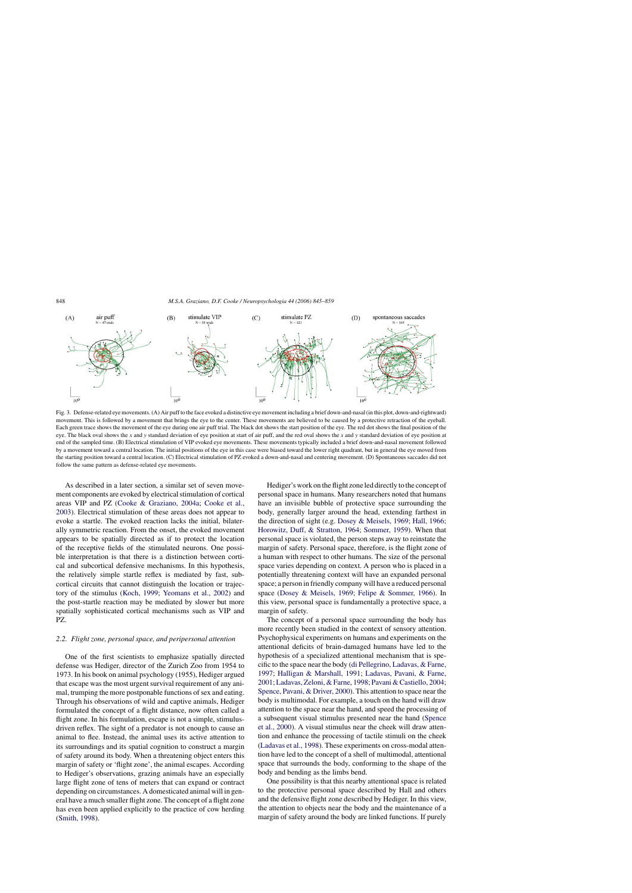<span id="page-3-0"></span>

Fig. 3. Defense-related eye movements. (A) Air puff to the face evoked a distinctive eye movement including a brief down-and-nasal (in this plot, down-and-rightward) movement. This is followed by a movement that brings the eye to the center. These movements are believed to be caused by a protective retraction of the eyeball. Each green trace shows the movement of the eye during one air puff trial. The black dot shows the start position of the eye. The red dot shows the final position of the eye. The black oval shows the *x* and *y* standard deviation of eye position at start of air puff, and the red oval shows the *x* and *y* standard deviation of eye position at end of the sampled time. (B) Electrical stimulation of VIP evoked eye movements. These movements typically included a brief down-and-nasal movement followed by a movement toward a central location. The initial positions of the eye in this case were biased toward the lower right quadrant, but in general the eye moved from the starting position toward a central location. (C) Electrical stimulation of PZ evoked a down-and-nasal and centering movement. (D) Spontaneous saccades did not follow the same pattern as defense-related eye movements.

As described in a later section, a similar set of seven movement components are evoked by electrical stimulation of cortical areas VIP and PZ ([Cooke & Graziano, 2004a;](#page-12-0) [Cooke et al.,](#page-12-0) [2003\).](#page-12-0) Electrical stimulation of these areas does not appear to evoke a startle. The evoked reaction lacks the initial, bilaterally symmetric reaction. From the onset, the evoked movement appears to be spatially directed as if to protect the location of the receptive fields of the stimulated neurons. One possible interpretation is that there is a distinction between cortical and subcortical defensive mechanisms. In this hypothesis, the relatively simple startle reflex is mediated by fast, subcortical circuits that cannot distinguish the location or trajectory of the stimulus [\(Koch, 1999; Yeomans et al., 2002\)](#page-13-0) and the post-startle reaction may be mediated by slower but more spatially sophisticated cortical mechanisms such as VIP and PZ.

# *2.2. Flight zone, personal space, and peripersonal attention*

One of the first scientists to emphasize spatially directed defense was Hediger, director of the Zurich Zoo from 1954 to 1973. In his book on animal psychology (1955), Hediger argued that escape was the most urgent survival requirement of any animal, trumping the more postponable functions of sex and eating. Through his observations of wild and captive animals, Hediger formulated the concept of a flight distance, now often called a flight zone. In his formulation, escape is not a simple, stimulusdriven reflex. The sight of a predator is not enough to cause an animal to flee. Instead, the animal uses its active attention to its surroundings and its spatial cognition to construct a margin of safety around its body. When a threatening object enters this margin of safety or 'flight zone', the animal escapes. According to Hediger's observations, grazing animals have an especially large flight zone of tens of meters that can expand or contract depending on circumstances. A domesticated animal will in general have a much smaller flight zone. The concept of a flight zone has even been applied explicitly to the practice of cow herding [\(Smith, 1998\).](#page-14-0)

Hediger's work on the flight zone led directly to the concept of personal space in humans. Many researchers noted that humans have an invisible bubble of protective space surrounding the body, generally larger around the head, extending farthest in the direction of sight (e.g. [Dosey & Meisels, 1969;](#page-12-0) [Hall, 1966;](#page-13-0) [Horowitz, Duff, & Stratton, 1964;](#page-13-0) [Sommer, 1959\).](#page-14-0) When that personal space is violated, the person steps away to reinstate the margin of safety. Personal space, therefore, is the flight zone of a human with respect to other humans. The size of the personal space varies depending on context. A person who is placed in a potentially threatening context will have an expanded personal space; a person in friendly company will have a reduced personal space [\(Dosey & Meisels, 1969;](#page-12-0) [Felipe & Sommer, 1966\).](#page-12-0) In this view, personal space is fundamentally a protective space, a margin of safety.

The concept of a personal space surrounding the body has more recently been studied in the context of sensory attention. Psychophysical experiments on humans and experiments on the attentional deficits of brain-damaged humans have led to the hypothesis of a specialized attentional mechanism that is specific to the space near the body [\(di Pellegrino, Ladavas, & Farne,](#page-12-0) [1997;](#page-12-0) [Halligan & Marshall, 1991;](#page-13-0) [Ladavas, Pavani, & Farne,](#page-13-0) [2001;](#page-13-0) [Ladavas, Zeloni, & Farne, 1998;](#page-13-0) [Pavani & Castiello, 2004;](#page-14-0) [Spence, Pavani, & Driver, 2000\).](#page-14-0) This attention to space near the body is multimodal. For example, a touch on the hand will draw attention to the space near the hand, and speed the processing of a subsequent visual stimulus presented near the hand [\(Spence](#page-14-0) [et al., 2000\).](#page-14-0) A visual stimulus near the cheek will draw attention and enhance the processing of tactile stimuli on the cheek [\(Ladavas et al., 1998\).](#page-13-0) These experiments on cross-modal attention have led to the concept of a shell of multimodal, attentional space that surrounds the body, conforming to the shape of the body and bending as the limbs bend.

One possibility is that this nearby attentional space is related to the protective personal space described by Hall and others and the defensive flight zone described by Hediger. In this view, the attention to objects near the body and the maintenance of a margin of safety around the body are linked functions. If purely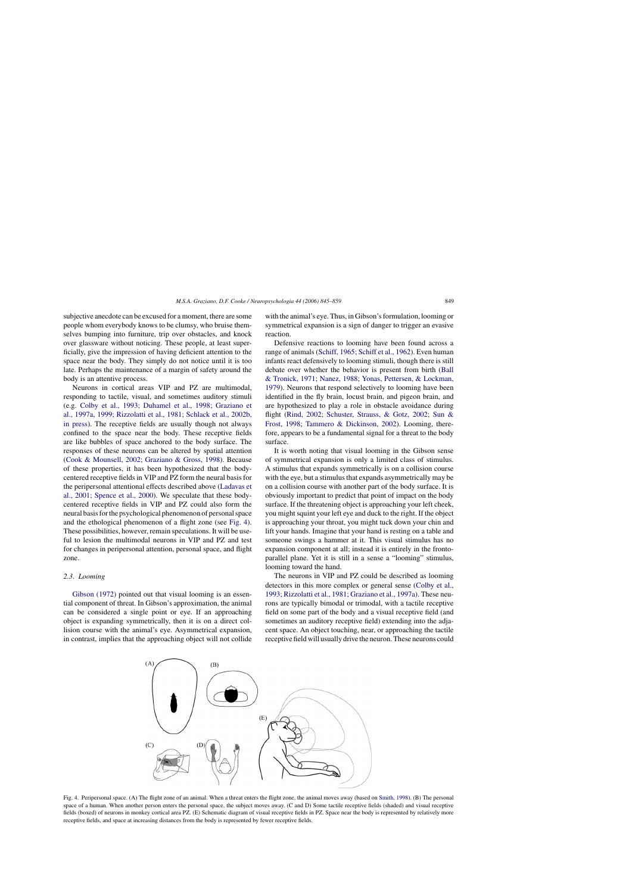subjective anecdote can be excused for a moment, there are some people whom everybody knows to be clumsy, who bruise themselves bumping into furniture, trip over obstacles, and knock over glassware without noticing. These people, at least superficially, give the impression of having deficient attention to the space near the body. They simply do not notice until it is too late. Perhaps the maintenance of a margin of safety around the body is an attentive process.

Neurons in cortical areas VIP and PZ are multimodal, responding to tactile, visual, and sometimes auditory stimuli (e.g. [Colby et al., 1993; Duhamel et al., 1998; Graziano et](#page-12-0) [al., 1997a, 1999; Rizzolatti et al., 1981; Schlack et al., 2002b,](#page-12-0) [in press\).](#page-12-0) The receptive fields are usually though not always confined to the space near the body. These receptive fields are like bubbles of space anchored to the body surface. The responses of these neurons can be altered by spatial attention ([Cook & Mounsell, 2002;](#page-12-0) [Graziano & Gross, 1998\).](#page-13-0) Because of these properties, it has been hypothesized that the bodycentered receptive fields in VIP and PZ form the neural basis for the peripersonal attentional effects described above [\(Ladavas et](#page-13-0) [al., 2001; Spence et al., 2000\).](#page-13-0) We speculate that these bodycentered receptive fields in VIP and PZ could also form the neural basis for the psychological phenomenon of personal space and the ethological phenomenon of a flight zone (see Fig. 4). These possibilities, however, remain speculations. It will be useful to lesion the multimodal neurons in VIP and PZ and test for changes in peripersonal attention, personal space, and flight zone.

### *2.3. Looming*

[Gibson \(1972\)](#page-13-0) pointed out that visual looming is an essential component of threat. In Gibson's approximation, the animal can be considered a single point or eye. If an approaching object is expanding symmetrically, then it is on a direct collision course with the animal's eye. Asymmetrical expansion, in contrast, implies that the approaching object will not collide with the animal's eye. Thus, in Gibson's formulation, looming or symmetrical expansion is a sign of danger to trigger an evasive reaction.

Defensive reactions to looming have been found across a range of animals [\(Schiff, 1965; Schiff et al., 1962\).](#page-14-0) Even human infants react defensively to looming stimuli, though there is still debate over whether the behavior is present from birth [\(Ball](#page-12-0) [& Tronick, 1971;](#page-12-0) [Nanez, 1988;](#page-13-0) [Yonas, Pettersen, & Lockman,](#page-14-0) [1979\).](#page-14-0) Neurons that respond selectively to looming have been identified in the fly brain, locust brain, and pigeon brain, and are hypothesized to play a role in obstacle avoidance during flight [\(Rind, 2002;](#page-14-0) [Schuster, Strauss, & Gotz, 2002;](#page-14-0) [Sun &](#page-14-0) [Frost, 1998;](#page-14-0) [Tammero & Dickinson, 2002\).](#page-14-0) Looming, therefore, appears to be a fundamental signal for a threat to the body surface.

It is worth noting that visual looming in the Gibson sense of symmetrical expansion is only a limited class of stimulus. A stimulus that expands symmetrically is on a collision course with the eye, but a stimulus that expands asymmetrically may be on a collision course with another part of the body surface. It is obviously important to predict that point of impact on the body surface. If the threatening object is approaching your left cheek, you might squint your left eye and duck to the right. If the object is approaching your throat, you might tuck down your chin and lift your hands. Imagine that your hand is resting on a table and someone swings a hammer at it. This visual stimulus has no expansion component at all; instead it is entirely in the frontoparallel plane. Yet it is still in a sense a "looming" stimulus, looming toward the hand.

The neurons in VIP and PZ could be described as looming detectors in this more complex or general sense ([Colby et al.,](#page-12-0) [1993; Rizzolatti et al., 1981; Graziano et al., 1997a\).](#page-12-0) These neurons are typically bimodal or trimodal, with a tactile receptive field on some part of the body and a visual receptive field (and sometimes an auditory receptive field) extending into the adjacent space. An object touching, near, or approaching the tactile receptive field will usually drive the neuron. These neurons could



Fig. 4. Peripersonal space. (A) The flight zone of an animal. When a threat enters the flight zone, the animal moves away (based on [Smith, 1998\).](#page-14-0) (B) The personal space of a human. When another person enters the personal space, the subject moves away. (C and D) Some tactile receptive fields (shaded) and visual receptive fields (boxed) of neurons in monkey cortical area PZ. (E) Schematic diagram of visual receptive fields in PZ. Space near the body is represented by relatively more receptive fields, and space at increasing distances from the body is represented by fewer receptive fields.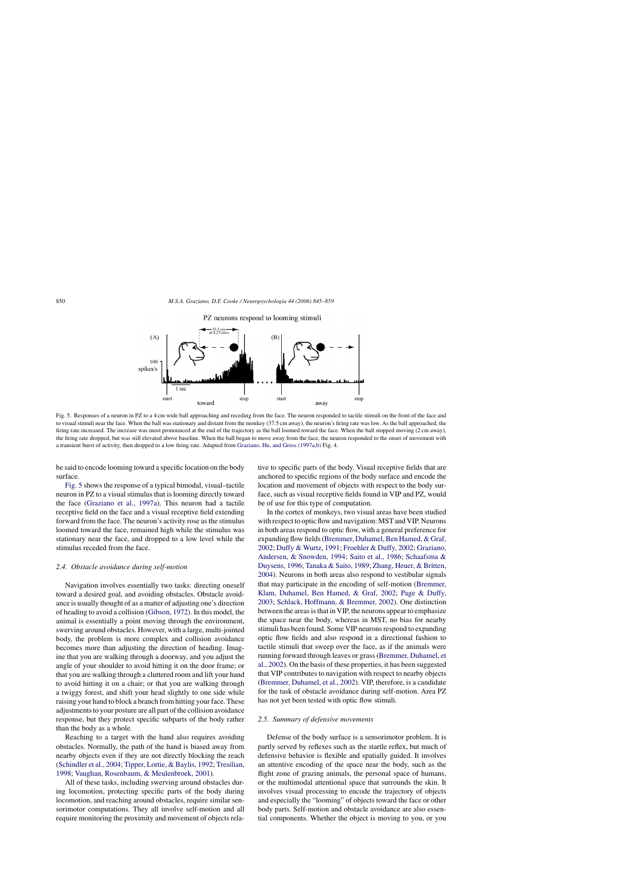



Fig. 5. Responses of a neuron in PZ to a 4 cm wide ball approaching and receding from the face. The neuron responded to tactile stimuli on the front of the face and to visual stimuli near the face. When the ball was stationary and distant from the monkey (37.5 cm away), the neuron's firing rate was low. As the ball approached, the firing rate increased. The increase was most pronounced at the end of the trajectory as the ball loomed toward the face. When the ball stopped moving (2 cm away), the firing rate dropped, but was still elevated above baseline. When the ball began to move away from the face, the neuron responded to the onset of movement with a transient burst of activity, then dropped to a low firing rate. Adapted from [Graziano, Hu, and Gross \(1997a,b\)](#page-13-0) Fig. 4.

be said to encode looming toward a specific location on the body surface.

Fig. 5 shows the response of a typical bimodal, visual–tactile neuron in PZ to a visual stimulus that is looming directly toward the face ([Graziano et al., 1997a\).](#page-13-0) This neuron had a tactile receptive field on the face and a visual receptive field extending forward from the face. The neuron's activity rose as the stimulus loomed toward the face, remained high while the stimulus was stationary near the face, and dropped to a low level while the stimulus receded from the face.

### *2.4. Obstacle avoidance during self-motion*

Navigation involves essentially two tasks: directing oneself toward a desired goal, and avoiding obstacles. Obstacle avoidance is usually thought of as a matter of adjusting one's direction of heading to avoid a collision [\(Gibson, 1972\).](#page-13-0) In this model, the animal is essentially a point moving through the environment, swerving around obstacles. However, with a large, multi-jointed body, the problem is more complex and collision avoidance becomes more than adjusting the direction of heading. Imagine that you are walking through a doorway, and you adjust the angle of your shoulder to avoid hitting it on the door frame; or that you are walking through a cluttered room and lift your hand to avoid hitting it on a chair; or that you are walking through a twiggy forest, and shift your head slightly to one side while raising your hand to block a branch from hitting your face. These adjustments to your posture are all part of the collision avoidance response, but they protect specific subparts of the body rather than the body as a whole.

Reaching to a target with the hand also requires avoiding obstacles. Normally, the path of the hand is biased away from nearby objects even if they are not directly blocking the reach [\(Schindler et al., 2004;](#page-14-0) [Tipper, Lortie, & Baylis, 1992;](#page-14-0) [Tresilian,](#page-14-0) [1998;](#page-14-0) [Vaughan, Rosenbaum, & Meulenbroek, 2001\).](#page-14-0)

All of these tasks, including swerving around obstacles during locomotion, protecting specific parts of the body during locomotion, and reaching around obstacles, require similar sensorimotor computations. They all involve self-motion and all require monitoring the proximity and movement of objects relative to specific parts of the body. Visual receptive fields that are anchored to specific regions of the body surface and encode the location and movement of objects with respect to the body surface, such as visual receptive fields found in VIP and PZ, would be of use for this type of computation.

In the cortex of monkeys, two visual areas have been studied with respect to optic flow and navigation: MST and VIP. Neurons in both areas respond to optic flow, with a general preference for expanding flow fields [\(Bremmer, Duhamel, Ben Hamed, & Graf,](#page-12-0) [2002;](#page-12-0) [Duffy & Wurtz, 1991;](#page-12-0) [Froehler & Duffy, 2002;](#page-13-0) [Graziano,](#page-13-0) [Andersen, & Snowden, 1994;](#page-13-0) [Saito et al., 1986;](#page-14-0) [Schaafsma &](#page-14-0) [Duysens, 1996;](#page-14-0) [Tanaka & Saito, 1989;](#page-14-0) [Zhang, Heuer, & Britten,](#page-14-0) [2004\).](#page-14-0) Neurons in both areas also respond to vestibular signals that may participate in the encoding of self-motion [\(Bremmer,](#page-12-0) [Klam, Duhamel, Ben Hamed, & Graf, 2002;](#page-12-0) [Page & Duffy,](#page-13-0) [2003;](#page-13-0) [Schlack, Hoffmann, & Bremmer, 2002\).](#page-14-0) One distinction between the areas is that in VIP, the neurons appear to emphasize the space near the body, whereas in MST, no bias for nearby stimuli has been found. Some VIP neurons respond to expanding optic flow fields and also respond in a directional fashion to tactile stimuli that sweep over the face, as if the animals were running forward through leaves or grass [\(Bremmer, Duhamel, et](#page-12-0) [al., 2002\).](#page-12-0) On the basis of these properties, it has been suggested that VIP contributes to navigation with respect to nearby objects [\(Bremmer, Duhamel, et al., 2002\).](#page-12-0) VIP, therefore, is a candidate for the task of obstacle avoidance during self-motion. Area PZ has not yet been tested with optic flow stimuli.

### *2.5. Summary of defensive movements*

Defense of the body surface is a sensorimotor problem. It is partly served by reflexes such as the startle reflex, but much of defensive behavior is flexible and spatially guided. It involves an attentive encoding of the space near the body, such as the flight zone of grazing animals, the personal space of humans, or the multimodal attentional space that surrounds the skin. It involves visual processing to encode the trajectory of objects and especially the "looming" of objects toward the face or other body parts. Self-motion and obstacle avoidance are also essential components. Whether the object is moving to you, or you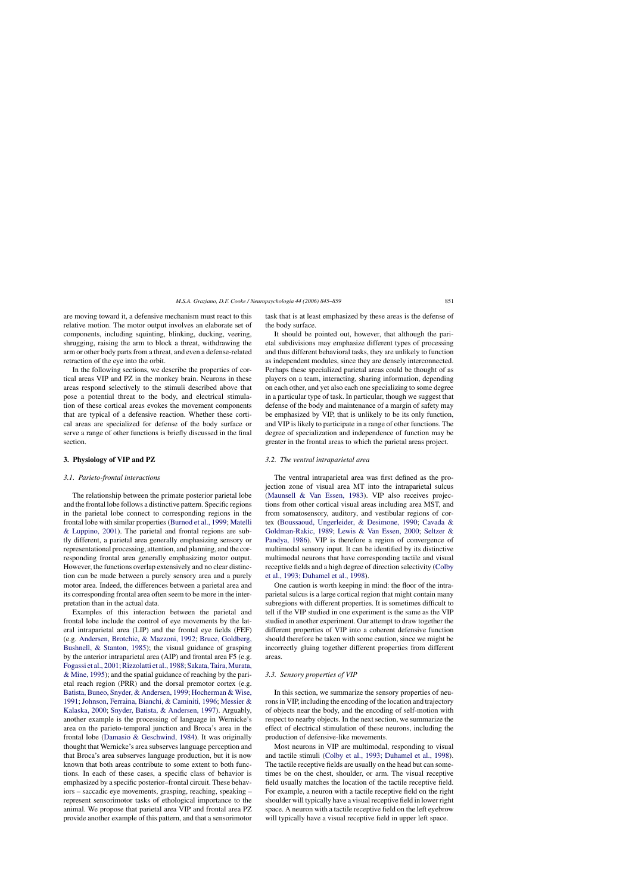are moving toward it, a defensive mechanism must react to this relative motion. The motor output involves an elaborate set of components, including squinting, blinking, ducking, veering, shrugging, raising the arm to block a threat, withdrawing the arm or other body parts from a threat, and even a defense-related retraction of the eye into the orbit.

In the following sections, we describe the properties of cortical areas VIP and PZ in the monkey brain. Neurons in these areas respond selectively to the stimuli described above that pose a potential threat to the body, and electrical stimulation of these cortical areas evokes the movement components that are typical of a defensive reaction. Whether these cortical areas are specialized for defense of the body surface or serve a range of other functions is briefly discussed in the final section.

### **3. Physiology of VIP and PZ**

### *3.1. Parieto-frontal interactions*

The relationship between the primate posterior parietal lobe and the frontal lobe follows a distinctive pattern. Specific regions in the parietal lobe connect to corresponding regions in the frontal lobe with similar properties ([Burnod et al., 1999;](#page-12-0) [Matelli](#page-13-0) [& Luppino, 2001\).](#page-13-0) The parietal and frontal regions are subtly different, a parietal area generally emphasizing sensory or representational processing, attention, and planning, and the corresponding frontal area generally emphasizing motor output. However, the functions overlap extensively and no clear distinction can be made between a purely sensory area and a purely motor area. Indeed, the differences between a parietal area and its corresponding frontal area often seem to be more in the interpretation than in the actual data.

Examples of this interaction between the parietal and frontal lobe include the control of eye movements by the lateral intraparietal area (LIP) and the frontal eye fields (FEF) (e.g. [Andersen, Brotchie, & Mazzoni, 1992;](#page-12-0) [Bruce, Goldberg,](#page-12-0) [Bushnell, & Stanton, 1985\);](#page-12-0) the visual guidance of grasping by the anterior intraparietal area (AIP) and frontal area F5 (e.g. [Fogassi et al., 2001; Rizzolatti et al., 1988;](#page-12-0) [Sakata, Taira, Murata,](#page-14-0) [& Mine, 1995\);](#page-14-0) and the spatial guidance of reaching by the parietal reach region (PRR) and the dorsal premotor cortex (e.g. [Batista, Buneo, Snyder, & Andersen, 1999;](#page-12-0) [Hocherman & Wise,](#page-13-0) [1991;](#page-13-0) [Johnson, Ferraina, Bianchi, & Caminiti, 1996;](#page-13-0) [Messier &](#page-13-0) [Kalaska, 2000;](#page-13-0) [Snyder, Batista, & Andersen, 1997\).](#page-14-0) Arguably, another example is the processing of language in Wernicke's area on the parieto-temporal junction and Broca's area in the frontal lobe ([Damasio & Geschwind, 1984\).](#page-12-0) It was originally thought that Wernicke's area subserves language perception and that Broca's area subserves language production, but it is now known that both areas contribute to some extent to both functions. In each of these cases, a specific class of behavior is emphasized by a specific posterior–frontal circuit. These behaviors – saccadic eye movements, grasping, reaching, speaking – represent sensorimotor tasks of ethological importance to the animal. We propose that parietal area VIP and frontal area PZ provide another example of this pattern, and that a sensorimotor task that is at least emphasized by these areas is the defense of the body surface.

It should be pointed out, however, that although the parietal subdivisions may emphasize different types of processing and thus different behavioral tasks, they are unlikely to function as independent modules, since they are densely interconnected. Perhaps these specialized parietal areas could be thought of as players on a team, interacting, sharing information, depending on each other, and yet also each one specializing to some degree in a particular type of task. In particular, though we suggest that defense of the body and maintenance of a margin of safety may be emphasized by VIP, that is unlikely to be its only function, and VIP is likely to participate in a range of other functions. The degree of specialization and independence of function may be greater in the frontal areas to which the parietal areas project.

### *3.2. The ventral intraparietal area*

The ventral intraparietal area was first defined as the projection zone of visual area MT into the intraparietal sulcus ([Maunsell & Van Essen, 1983\).](#page-13-0) VIP also receives projections from other cortical visual areas including area MST, and from somatosensory, auditory, and vestibular regions of cortex [\(Boussaoud, Ungerleider, & Desimone, 1990;](#page-12-0) [Cavada &](#page-12-0) [Goldman-Rakic, 1989;](#page-12-0) [Lewis & Van Essen, 2000;](#page-13-0) [Seltzer &](#page-14-0) [Pandya, 1986\).](#page-14-0) VIP is therefore a region of convergence of multimodal sensory input. It can be identified by its distinctive multimodal neurons that have corresponding tactile and visual receptive fields and a high degree of direction selectivity [\(Colby](#page-12-0) [et al., 1993; Duhamel et al., 1998\).](#page-12-0)

One caution is worth keeping in mind: the floor of the intraparietal sulcus is a large cortical region that might contain many subregions with different properties. It is sometimes difficult to tell if the VIP studied in one experiment is the same as the VIP studied in another experiment. Our attempt to draw together the different properties of VIP into a coherent defensive function should therefore be taken with some caution, since we might be incorrectly gluing together different properties from different areas.

# *3.3. Sensory properties of VIP*

In this section, we summarize the sensory properties of neurons in VIP, including the encoding of the location and trajectory of objects near the body, and the encoding of self-motion with respect to nearby objects. In the next section, we summarize the effect of electrical stimulation of these neurons, including the production of defensive-like movements.

Most neurons in VIP are multimodal, responding to visual and tactile stimuli [\(Colby et al., 1993; Duhamel et al., 1998\).](#page-12-0) The tactile receptive fields are usually on the head but can sometimes be on the chest, shoulder, or arm. The visual receptive field usually matches the location of the tactile receptive field. For example, a neuron with a tactile receptive field on the right shoulder will typically have a visual receptive field in lower right space. A neuron with a tactile receptive field on the left eyebrow will typically have a visual receptive field in upper left space.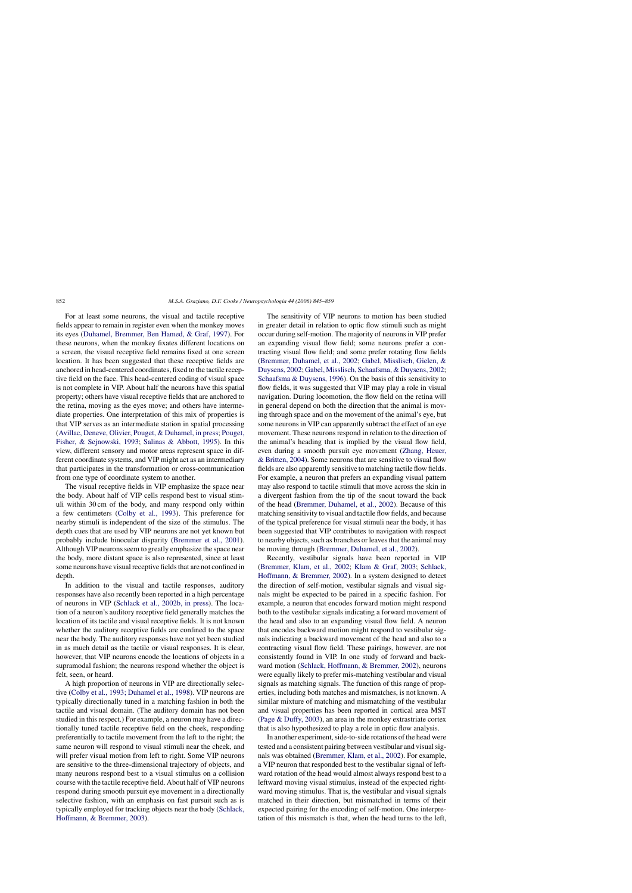For at least some neurons, the visual and tactile receptive fields appear to remain in register even when the monkey moves its eyes [\(Duhamel, Bremmer, Ben Hamed, & Graf, 1997\).](#page-12-0) For these neurons, when the monkey fixates different locations on a screen, the visual receptive field remains fixed at one screen location. It has been suggested that these receptive fields are anchored in head-centered coordinates, fixed to the tactile receptive field on the face. This head-centered coding of visual space is not complete in VIP. About half the neurons have this spatial property; others have visual receptive fields that are anchored to the retina, moving as the eyes move; and others have intermediate properties. One interpretation of this mix of properties is that VIP serves as an intermediate station in spatial processing [\(Avillac, Deneve, Olivier, Pouget, & Duhamel, in press;](#page-12-0) [Pouget,](#page-14-0) [Fisher, & Sejnowski, 1993;](#page-14-0) [Salinas & Abbott, 1995\).](#page-14-0) In this view, different sensory and motor areas represent space in different coordinate systems, and VIP might act as an intermediary that participates in the transformation or cross-communication from one type of coordinate system to another.

The visual receptive fields in VIP emphasize the space near the body. About half of VIP cells respond best to visual stimuli within 30 cm of the body, and many respond only within a few centimeters [\(Colby et al., 1993\).](#page-12-0) This preference for nearby stimuli is independent of the size of the stimulus. The depth cues that are used by VIP neurons are not yet known but probably include binocular disparity [\(Bremmer et al., 2001\).](#page-12-0) Although VIP neurons seem to greatly emphasize the space near the body, more distant space is also represented, since at least some neurons have visual receptive fields that are not confined in depth.

In addition to the visual and tactile responses, auditory responses have also recently been reported in a high percentage of neurons in VIP ([Schlack et al., 2002b, in press\).](#page-14-0) The location of a neuron's auditory receptive field generally matches the location of its tactile and visual receptive fields. It is not known whether the auditory receptive fields are confined to the space near the body. The auditory responses have not yet been studied in as much detail as the tactile or visual responses. It is clear, however, that VIP neurons encode the locations of objects in a supramodal fashion; the neurons respond whether the object is felt, seen, or heard.

A high proportion of neurons in VIP are directionally selective ([Colby et al., 1993; Duhamel et al., 1998\).](#page-12-0) VIP neurons are typically directionally tuned in a matching fashion in both the tactile and visual domain. (The auditory domain has not been studied in this respect.) For example, a neuron may have a directionally tuned tactile receptive field on the cheek, responding preferentially to tactile movement from the left to the right; the same neuron will respond to visual stimuli near the cheek, and will prefer visual motion from left to right. Some VIP neurons are sensitive to the three-dimensional trajectory of objects, and many neurons respond best to a visual stimulus on a collision course with the tactile receptive field. About half of VIP neurons respond during smooth pursuit eye movement in a directionally selective fashion, with an emphasis on fast pursuit such as is typically employed for tracking objects near the body ([Schlack,](#page-14-0) [Hoffmann, & Bremmer, 2003\).](#page-14-0)

The sensitivity of VIP neurons to motion has been studied in greater detail in relation to optic flow stimuli such as might occur during self-motion. The majority of neurons in VIP prefer an expanding visual flow field; some neurons prefer a contracting visual flow field; and some prefer rotating flow fields [\(Bremmer, Duhamel, et al., 2002;](#page-12-0) [Gabel, Misslisch, Gielen, &](#page-13-0) [Duysens, 2002;](#page-13-0) [Gabel, Misslisch, Schaafsma, & Duysens, 2002;](#page-13-0) [Schaafsma & Duysens, 1996\).](#page-14-0) On the basis of this sensitivity to flow fields, it was suggested that VIP may play a role in visual navigation. During locomotion, the flow field on the retina will in general depend on both the direction that the animal is moving through space and on the movement of the animal's eye, but some neurons in VIP can apparently subtract the effect of an eye movement. These neurons respond in relation to the direction of the animal's heading that is implied by the visual flow field, even during a smooth pursuit eye movement [\(Zhang, Heuer,](#page-14-0) [& Britten, 2004\).](#page-14-0) Some neurons that are sensitive to visual flow fields are also apparently sensitive to matching tactile flow fields. For example, a neuron that prefers an expanding visual pattern may also respond to tactile stimuli that move across the skin in a divergent fashion from the tip of the snout toward the back of the head [\(Bremmer, Duhamel, et al., 2002\).](#page-12-0) Because of this matching sensitivity to visual and tactile flow fields, and because of the typical preference for visual stimuli near the body, it has been suggested that VIP contributes to navigation with respect to nearby objects, such as branches or leaves that the animal may be moving through [\(Bremmer, Duhamel, et al., 2002\).](#page-12-0)

Recently, vestibular signals have been reported in VIP [\(Bremmer, Klam, et al., 2002;](#page-12-0) [Klam & Graf, 2003;](#page-13-0) [Schlack,](#page-14-0) [Hoffmann, & Bremmer, 2002\).](#page-14-0) In a system designed to detect the direction of self-motion, vestibular signals and visual signals might be expected to be paired in a specific fashion. For example, a neuron that encodes forward motion might respond both to the vestibular signals indicating a forward movement of the head and also to an expanding visual flow field. A neuron that encodes backward motion might respond to vestibular signals indicating a backward movement of the head and also to a contracting visual flow field. These pairings, however, are not consistently found in VIP. In one study of forward and backward motion [\(Schlack, Hoffmann, & Bremmer, 2002\),](#page-14-0) neurons were equally likely to prefer mis-matching vestibular and visual signals as matching signals. The function of this range of properties, including both matches and mismatches, is not known. A similar mixture of matching and mismatching of the vestibular and visual properties has been reported in cortical area MST [\(Page & Duffy, 2003\),](#page-13-0) an area in the monkey extrastriate cortex that is also hypothesized to play a role in optic flow analysis.

In another experiment, side-to-side rotations of the head were tested and a consistent pairing between vestibular and visual signals was obtained [\(Bremmer, Klam, et al., 2002\).](#page-12-0) For example, a VIP neuron that responded best to the vestibular signal of leftward rotation of the head would almost always respond best to a leftward moving visual stimulus, instead of the expected rightward moving stimulus. That is, the vestibular and visual signals matched in their direction, but mismatched in terms of their expected pairing for the encoding of self-motion. One interpretation of this mismatch is that, when the head turns to the left,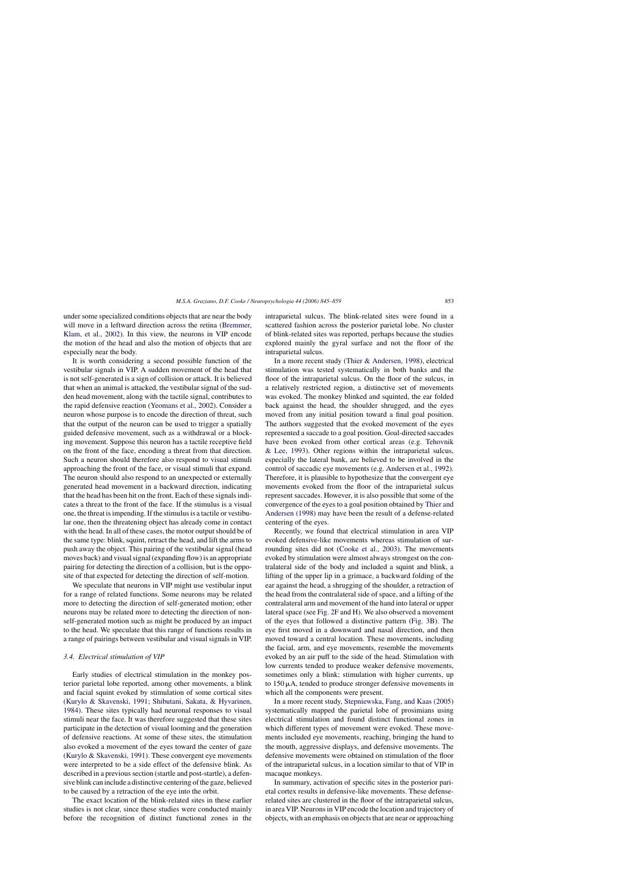under some specialized conditions objects that are near the body will move in a leftward direction across the retina ([Bremmer,](#page-12-0) [Klam, et al., 2002\).](#page-12-0) In this view, the neurons in VIP encode the motion of the head and also the motion of objects that are especially near the body.

It is worth considering a second possible function of the vestibular signals in VIP. A sudden movement of the head that is not self-generated is a sign of collision or attack. It is believed that when an animal is attacked, the vestibular signal of the sudden head movement, along with the tactile signal, contributes to the rapid defensive reaction ([Yeomans et al., 2002\).](#page-14-0) Consider a neuron whose purpose is to encode the direction of threat, such that the output of the neuron can be used to trigger a spatially guided defensive movement, such as a withdrawal or a blocking movement. Suppose this neuron has a tactile receptive field on the front of the face, encoding a threat from that direction. Such a neuron should therefore also respond to visual stimuli approaching the front of the face, or visual stimuli that expand. The neuron should also respond to an unexpected or externally generated head movement in a backward direction, indicating that the head has been hit on the front. Each of these signals indicates a threat to the front of the face. If the stimulus is a visual one, the threat is impending. If the stimulus is a tactile or vestibular one, then the threatening object has already come in contact with the head. In all of these cases, the motor output should be of the same type: blink, squint, retract the head, and lift the arms to push away the object. This pairing of the vestibular signal (head moves back) and visual signal (expanding flow) is an appropriate pairing for detecting the direction of a collision, but is the opposite of that expected for detecting the direction of self-motion.

We speculate that neurons in VIP might use vestibular input for a range of related functions. Some neurons may be related more to detecting the direction of self-generated motion; other neurons may be related more to detecting the direction of nonself-generated motion such as might be produced by an impact to the head. We speculate that this range of functions results in a range of pairings between vestibular and visual signals in VIP.

# *3.4. Electrical stimulation of VIP*

Early studies of electrical stimulation in the monkey posterior parietal lobe reported, among other movements, a blink and facial squint evoked by stimulation of some cortical sites ([Kurylo & Skavenski, 1991;](#page-13-0) [Shibutani, Sakata, & Hyvarinen,](#page-14-0) [1984\).](#page-14-0) These sites typically had neuronal responses to visual stimuli near the face. It was therefore suggested that these sites participate in the detection of visual looming and the generation of defensive reactions. At some of these sites, the stimulation also evoked a movement of the eyes toward the center of gaze ([Kurylo & Skavenski, 1991\).](#page-13-0) These convergent eye movements were interpreted to be a side effect of the defensive blink. As described in a previous section (startle and post-startle), a defensive blink can include a distinctive centering of the gaze, believed to be caused by a retraction of the eye into the orbit.

The exact location of the blink-related sites in these earlier studies is not clear, since these studies were conducted mainly before the recognition of distinct functional zones in the

intraparietal sulcus. The blink-related sites were found in a scattered fashion across the posterior parietal lobe. No cluster of blink-related sites was reported, perhaps because the studies explored mainly the gyral surface and not the floor of the intraparietal sulcus.

In a more recent study ([Thier & Andersen, 1998\),](#page-14-0) electrical stimulation was tested systematically in both banks and the floor of the intraparietal sulcus. On the floor of the sulcus, in a relatively restricted region, a distinctive set of movements was evoked. The monkey blinked and squinted, the ear folded back against the head, the shoulder shrugged, and the eyes moved from any initial position toward a final goal position. The authors suggested that the evoked movement of the eyes represented a saccade to a goal position. Goal-directed saccades have been evoked from other cortical areas (e.g. [Tehovnik](#page-14-0) [& Lee, 1993\).](#page-14-0) Other regions within the intraparietal sulcus, especially the lateral bank, are believed to be involved in the control of saccadic eye movements (e.g. [Andersen et al., 1992\).](#page-12-0) Therefore, it is plausible to hypothesize that the convergent eye movements evoked from the floor of the intraparietal sulcus represent saccades. However, it is also possible that some of the convergence of the eyes to a goal position obtained by [Thier and](#page-14-0) [Andersen \(1998\)](#page-14-0) may have been the result of a defense-related centering of the eyes.

Recently, we found that electrical stimulation in area VIP evoked defensive-like movements whereas stimulation of surrounding sites did not [\(Cooke et al., 2003\).](#page-12-0) The movements evoked by stimulation were almost always strongest on the contralateral side of the body and included a squint and blink, a lifting of the upper lip in a grimace, a backward folding of the ear against the head, a shrugging of the shoulder, a retraction of the head from the contralateral side of space, and a lifting of the contralateral arm and movement of the hand into lateral or upper lateral space (see [Fig. 2F](#page-2-0) and H). We also observed a movement of the eyes that followed a distinctive pattern [\(Fig. 3B](#page-3-0)). The eye first moved in a downward and nasal direction, and then moved toward a central location. These movements, including the facial, arm, and eye movements, resemble the movements evoked by an air puff to the side of the head. Stimulation with low currents tended to produce weaker defensive movements, sometimes only a blink; stimulation with higher currents, up to  $150 \mu A$ , tended to produce stronger defensive movements in which all the components were present.

In a more recent study, [Stepniewska, Fang, and Kaas \(2005\)](#page-14-0) systematically mapped the parietal lobe of prosimians using electrical stimulation and found distinct functional zones in which different types of movement were evoked. These movements included eye movements, reaching, bringing the hand to the mouth, aggressive displays, and defensive movements. The defensive movements were obtained on stimulation of the floor of the intraparietal sulcus, in a location similar to that of VIP in macaque monkeys.

In summary, activation of specific sites in the posterior parietal cortex results in defensive-like movements. These defenserelated sites are clustered in the floor of the intraparietal sulcus, in area VIP. Neurons in VIP encode the location and trajectory of objects, with an emphasis on objects that are near or approaching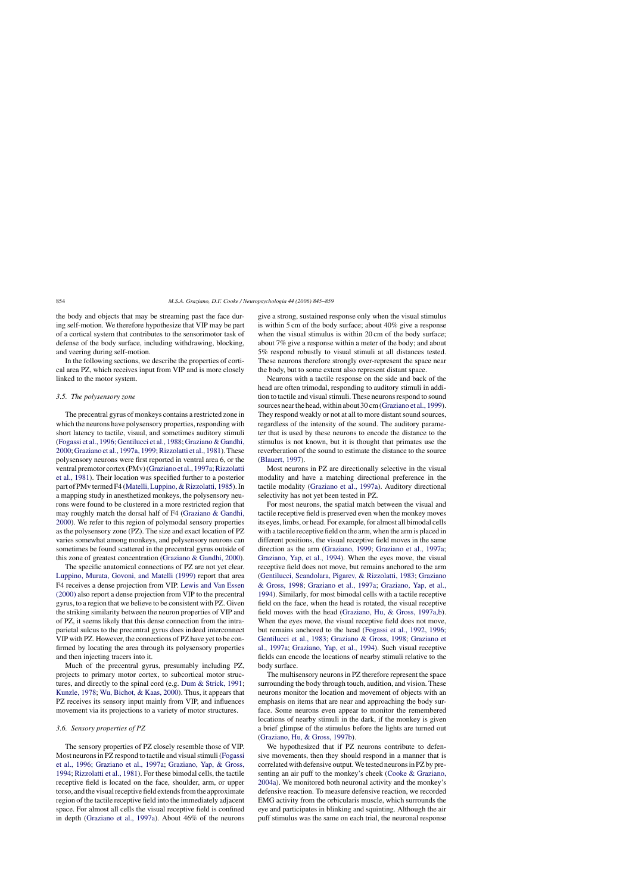the body and objects that may be streaming past the face during self-motion. We therefore hypothesize that VIP may be part of a cortical system that contributes to the sensorimotor task of defense of the body surface, including withdrawing, blocking, and veering during self-motion.

In the following sections, we describe the properties of cortical area PZ, which receives input from VIP and is more closely linked to the motor system.

### *3.5. The polysensory zone*

The precentral gyrus of monkeys contains a restricted zone in which the neurons have polysensory properties, responding with short latency to tactile, visual, and sometimes auditory stimuli [\(Fogassi et al., 1996; Gentilucci et al., 1988;](#page-13-0) [Graziano & Gandhi,](#page-13-0) [2000;](#page-13-0) [Graziano et al., 1997a, 1999; Rizzolatti et al., 1981\).](#page-13-0) These polysensory neurons were first reported in ventral area 6, or the ventral premotor cortex (PMv) ([Graziano et al., 1997a; Rizzolatti](#page-13-0) [et al., 1981\).](#page-13-0) Their location was specified further to a posterior part of PMv termed F4 [\(Matelli, Luppino, & Rizzolatti, 1985\).](#page-13-0) In a mapping study in anesthetized monkeys, the polysensory neurons were found to be clustered in a more restricted region that may roughly match the dorsal half of F4 [\(Graziano & Gandhi,](#page-13-0) [2000\).](#page-13-0) We refer to this region of polymodal sensory properties as the polysensory zone (PZ). The size and exact location of PZ varies somewhat among monkeys, and polysensory neurons can sometimes be found scattered in the precentral gyrus outside of this zone of greatest concentration ([Graziano & Gandhi, 2000\).](#page-13-0)

The specific anatomical connections of PZ are not yet clear. [Luppino, Murata, Govoni, and Matelli \(1999\)](#page-13-0) report that area F4 receives a dense projection from VIP. [Lewis and Van Essen](#page-13-0) [\(2000\)](#page-13-0) also report a dense projection from VIP to the precentral gyrus, to a region that we believe to be consistent with PZ. Given the striking similarity between the neuron properties of VIP and of PZ, it seems likely that this dense connection from the intraparietal sulcus to the precentral gyrus does indeed interconnect VIP with PZ. However, the connections of PZ have yet to be confirmed by locating the area through its polysensory properties and then injecting tracers into it.

Much of the precentral gyrus, presumably including PZ, projects to primary motor cortex, to subcortical motor structures, and directly to the spinal cord (e.g. [Dum & Strick, 1991;](#page-12-0) [Kunzle, 1978;](#page-13-0) [Wu, Bichot, & Kaas, 2000\).](#page-14-0) Thus, it appears that PZ receives its sensory input mainly from VIP, and influences movement via its projections to a variety of motor structures.

# *3.6. Sensory properties of PZ*

The sensory properties of PZ closely resemble those of VIP. Most neurons in PZ respond to tactile and visual stimuli ([Fogassi](#page-13-0) [et al., 1996; Graziano et al., 1997a;](#page-13-0) [Graziano, Yap, & Gross,](#page-13-0) [1994;](#page-13-0) [Rizzolatti et al., 1981\).](#page-14-0) For these bimodal cells, the tactile receptive field is located on the face, shoulder, arm, or upper torso, and the visual receptive field extends from the approximate region of the tactile receptive field into the immediately adjacent space. For almost all cells the visual receptive field is confined in depth [\(Graziano et al., 1997a\).](#page-13-0) About 46% of the neurons

give a strong, sustained response only when the visual stimulus is within 5 cm of the body surface; about 40% give a response when the visual stimulus is within 20 cm of the body surface; about 7% give a response within a meter of the body; and about 5% respond robustly to visual stimuli at all distances tested. These neurons therefore strongly over-represent the space near the body, but to some extent also represent distant space.

Neurons with a tactile response on the side and back of the head are often trimodal, responding to auditory stimuli in addition to tactile and visual stimuli. These neurons respond to sound sources near the head, within about 30 cm ([Graziano et al., 1999\).](#page-13-0) They respond weakly or not at all to more distant sound sources, regardless of the intensity of the sound. The auditory parameter that is used by these neurons to encode the distance to the stimulus is not known, but it is thought that primates use the reverberation of the sound to estimate the distance to the source [\(Blauert, 1997\).](#page-12-0)

Most neurons in PZ are directionally selective in the visual modality and have a matching directional preference in the tactile modality ([Graziano et al., 1997a\).](#page-13-0) Auditory directional selectivity has not yet been tested in PZ.

For most neurons, the spatial match between the visual and tactile receptive field is preserved even when the monkey moves its eyes, limbs, or head. For example, for almost all bimodal cells with a tactile receptive field on the arm, when the arm is placed in different positions, the visual receptive field moves in the same direction as the arm ([Graziano, 1999;](#page-13-0) [Graziano et al., 1997a;](#page-13-0) [Graziano, Yap, et al., 1994\).](#page-13-0) When the eyes move, the visual receptive field does not move, but remains anchored to the arm [\(Gentilucci, Scandolara, Pigarev, & Rizzolatti, 1983;](#page-13-0) [Graziano](#page-13-0) [& Gross, 1998;](#page-13-0) [Graziano et al., 1997a;](#page-13-0) [Graziano, Yap, et al.,](#page-13-0) [1994\).](#page-13-0) Similarly, for most bimodal cells with a tactile receptive field on the face, when the head is rotated, the visual receptive field moves with the head [\(Graziano, Hu, & Gross, 1997a,b\).](#page-13-0) When the eyes move, the visual receptive field does not move, but remains anchored to the head ([Fogassi et al., 1992, 1996;](#page-13-0) [Gentilucci et al., 1983;](#page-13-0) [Graziano & Gross, 1998;](#page-13-0) [Graziano et](#page-13-0) [al., 1997a;](#page-13-0) [Graziano, Yap, et al., 1994\).](#page-13-0) Such visual receptive fields can encode the locations of nearby stimuli relative to the body surface.

The multisensory neurons in PZ therefore represent the space surrounding the body through touch, audition, and vision. These neurons monitor the location and movement of objects with an emphasis on items that are near and approaching the body surface. Some neurons even appear to monitor the remembered locations of nearby stimuli in the dark, if the monkey is given a brief glimpse of the stimulus before the lights are turned out [\(Graziano, Hu, & Gross, 1997b\).](#page-13-0)

We hypothesized that if PZ neurons contribute to defensive movements, then they should respond in a manner that is correlated with defensive output. We tested neurons in PZ by presenting an air puff to the monkey's cheek ([Cooke & Graziano,](#page-12-0) [2004a\).](#page-12-0) We monitored both neuronal activity and the monkey's defensive reaction. To measure defensive reaction, we recorded EMG activity from the orbicularis muscle, which surrounds the eye and participates in blinking and squinting. Although the air puff stimulus was the same on each trial, the neuronal response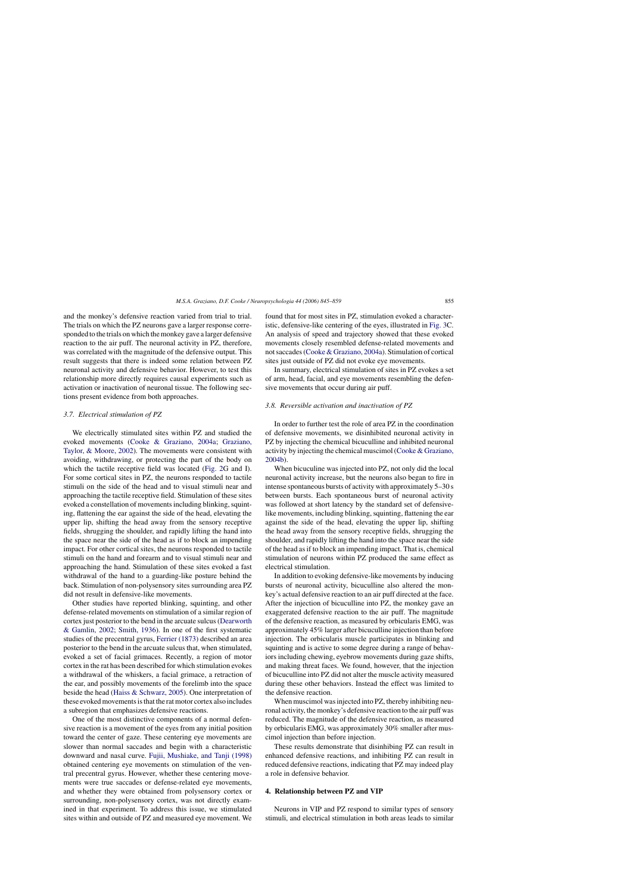and the monkey's defensive reaction varied from trial to trial. The trials on which the PZ neurons gave a larger response corresponded to the trials on which the monkey gave a larger defensive reaction to the air puff. The neuronal activity in PZ, therefore, was correlated with the magnitude of the defensive output. This result suggests that there is indeed some relation between PZ neuronal activity and defensive behavior. However, to test this relationship more directly requires causal experiments such as activation or inactivation of neuronal tissue. The following sections present evidence from both approaches.

# *3.7. Electrical stimulation of PZ*

We electrically stimulated sites within PZ and studied the evoked movements ([Cooke & Graziano, 2004a;](#page-12-0) [Graziano,](#page-13-0) [Taylor, & Moore, 2002\).](#page-13-0) The movements were consistent with avoiding, withdrawing, or protecting the part of the body on which the tactile receptive field was located ([Fig. 2G](#page-2-0) and I). For some cortical sites in PZ, the neurons responded to tactile stimuli on the side of the head and to visual stimuli near and approaching the tactile receptive field. Stimulation of these sites evoked a constellation of movements including blinking, squinting, flattening the ear against the side of the head, elevating the upper lip, shifting the head away from the sensory receptive fields, shrugging the shoulder, and rapidly lifting the hand into the space near the side of the head as if to block an impending impact. For other cortical sites, the neurons responded to tactile stimuli on the hand and forearm and to visual stimuli near and approaching the hand. Stimulation of these sites evoked a fast withdrawal of the hand to a guarding-like posture behind the back. Stimulation of non-polysensory sites surrounding area PZ did not result in defensive-like movements.

Other studies have reported blinking, squinting, and other defense-related movements on stimulation of a similar region of cortex just posterior to the bend in the arcuate sulcus [\(Dearworth](#page-12-0) [& Gamlin, 2002;](#page-12-0) [Smith, 1936\).](#page-14-0) In one of the first systematic studies of the precentral gyrus, [Ferrier \(1873\)](#page-12-0) described an area posterior to the bend in the arcuate sulcus that, when stimulated, evoked a set of facial grimaces. Recently, a region of motor cortex in the rat has been described for which stimulation evokes a withdrawal of the whiskers, a facial grimace, a retraction of the ear, and possibly movements of the forelimb into the space beside the head [\(Haiss & Schwarz, 2005\).](#page-13-0) One interpretation of these evoked movements is that the rat motor cortex also includes a subregion that emphasizes defensive reactions.

One of the most distinctive components of a normal defensive reaction is a movement of the eyes from any initial position toward the center of gaze. These centering eye movements are slower than normal saccades and begin with a characteristic downward and nasal curve. [Fujii, Mushiake, and Tanji \(1998\)](#page-13-0) obtained centering eye movements on stimulation of the ventral precentral gyrus. However, whether these centering movements were true saccades or defense-related eye movements, and whether they were obtained from polysensory cortex or surrounding, non-polysensory cortex, was not directly examined in that experiment. To address this issue, we stimulated sites within and outside of PZ and measured eye movement. We

found that for most sites in PZ, stimulation evoked a characteristic, defensive-like centering of the eyes, illustrated in [Fig. 3C](#page-3-0). An analysis of speed and trajectory showed that these evoked movements closely resembled defense-related movements and not saccades ([Cooke & Graziano, 2004a\).](#page-12-0) Stimulation of cortical sites just outside of PZ did not evoke eye movements.

In summary, electrical stimulation of sites in PZ evokes a set of arm, head, facial, and eye movements resembling the defensive movements that occur during air puff.

### *3.8. Reversible activation and inactivation of PZ*

In order to further test the role of area PZ in the coordination of defensive movements, we disinhibited neuronal activity in PZ by injecting the chemical bicuculline and inhibited neuronal activity by injecting the chemical muscimol ([Cooke & Graziano,](#page-12-0) [2004b\).](#page-12-0)

When bicuculine was injected into PZ, not only did the local neuronal activity increase, but the neurons also began to fire in intense spontaneous bursts of activity with approximately 5–30 s between bursts. Each spontaneous burst of neuronal activity was followed at short latency by the standard set of defensivelike movements, including blinking, squinting, flattening the ear against the side of the head, elevating the upper lip, shifting the head away from the sensory receptive fields, shrugging the shoulder, and rapidly lifting the hand into the space near the side of the head as if to block an impending impact. That is, chemical stimulation of neurons within PZ produced the same effect as electrical stimulation.

In addition to evoking defensive-like movements by inducing bursts of neuronal activity, bicuculline also altered the monkey's actual defensive reaction to an air puff directed at the face. After the injection of bicuculline into PZ, the monkey gave an exaggerated defensive reaction to the air puff. The magnitude of the defensive reaction, as measured by orbicularis EMG, was approximately 45% larger after bicuculline injection than before injection. The orbicularis muscle participates in blinking and squinting and is active to some degree during a range of behaviors including chewing, eyebrow movements during gaze shifts, and making threat faces. We found, however, that the injection of bicuculline into PZ did not alter the muscle activity measured during these other behaviors. Instead the effect was limited to the defensive reaction.

When muscimol was injected into PZ, thereby inhibiting neuronal activity, the monkey's defensive reaction to the air puff was reduced. The magnitude of the defensive reaction, as measured by orbicularis EMG, was approximately 30% smaller after muscimol injection than before injection.

These results demonstrate that disinhibing PZ can result in enhanced defensive reactions, and inhibiting PZ can result in reduced defensive reactions, indicating that PZ may indeed play a role in defensive behavior.

# **4. Relationship between PZ and VIP**

Neurons in VIP and PZ respond to similar types of sensory stimuli, and electrical stimulation in both areas leads to similar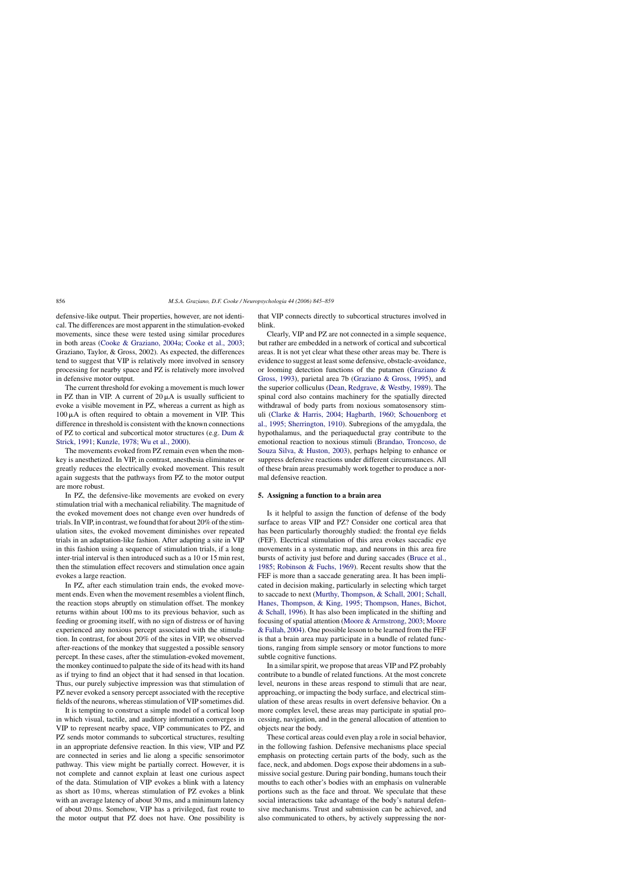defensive-like output. Their properties, however, are not identical. The differences are most apparent in the stimulation-evoked movements, since these were tested using similar procedures in both areas [\(Cooke & Graziano, 2004a;](#page-12-0) [Cooke et al., 2003;](#page-12-0) Graziano, Taylor, & Gross, 2002). As expected, the differences tend to suggest that VIP is relatively more involved in sensory processing for nearby space and PZ is relatively more involved in defensive motor output.

The current threshold for evoking a movement is much lower in PZ than in VIP. A current of  $20 \mu A$  is usually sufficient to evoke a visible movement in PZ, whereas a current as high as  $100 \mu A$  is often required to obtain a movement in VIP. This difference in threshold is consistent with the known connections of PZ to cortical and subcortical motor structures (e.g. [Dum &](#page-12-0) [Strick, 1991;](#page-12-0) [Kunzle, 1978; Wu et al., 2000\).](#page-13-0)

The movements evoked from PZ remain even when the monkey is anesthetized. In VIP, in contrast, anesthesia eliminates or greatly reduces the electrically evoked movement. This result again suggests that the pathways from PZ to the motor output are more robust.

In PZ, the defensive-like movements are evoked on every stimulation trial with a mechanical reliability. The magnitude of the evoked movement does not change even over hundreds of trials. In VIP, in contrast, we found that for about 20% of the stimulation sites, the evoked movement diminishes over repeated trials in an adaptation-like fashion. After adapting a site in VIP in this fashion using a sequence of stimulation trials, if a long inter-trial interval is then introduced such as a 10 or 15 min rest, then the stimulation effect recovers and stimulation once again evokes a large reaction.

In PZ, after each stimulation train ends, the evoked movement ends. Even when the movement resembles a violent flinch, the reaction stops abruptly on stimulation offset. The monkey returns within about 100 ms to its previous behavior, such as feeding or grooming itself, with no sign of distress or of having experienced any noxious percept associated with the stimulation. In contrast, for about 20% of the sites in VIP, we observed after-reactions of the monkey that suggested a possible sensory percept. In these cases, after the stimulation-evoked movement, the monkey continued to palpate the side of its head with its hand as if trying to find an object that it had sensed in that location. Thus, our purely subjective impression was that stimulation of PZ never evoked a sensory percept associated with the receptive fields of the neurons, whereas stimulation of VIP sometimes did.

It is tempting to construct a simple model of a cortical loop in which visual, tactile, and auditory information converges in VIP to represent nearby space, VIP communicates to PZ, and PZ sends motor commands to subcortical structures, resulting in an appropriate defensive reaction. In this view, VIP and PZ are connected in series and lie along a specific sensorimotor pathway. This view might be partially correct. However, it is not complete and cannot explain at least one curious aspect of the data. Stimulation of VIP evokes a blink with a latency as short as 10 ms, whereas stimulation of PZ evokes a blink with an average latency of about 30 ms, and a minimum latency of about 20 ms. Somehow, VIP has a privileged, fast route to the motor output that PZ does not have. One possibility is that VIP connects directly to subcortical structures involved in blink.

Clearly, VIP and PZ are not connected in a simple sequence, but rather are embedded in a network of cortical and subcortical areas. It is not yet clear what these other areas may be. There is evidence to suggest at least some defensive, obstacle-avoidance, or looming detection functions of the putamen [\(Graziano &](#page-13-0) [Gross, 1993\),](#page-13-0) parietal area 7b ([Graziano & Gross, 1995\),](#page-13-0) and the superior colliculus [\(Dean, Redgrave, & Westby, 1989\).](#page-12-0) The spinal cord also contains machinery for the spatially directed withdrawal of body parts from noxious somatosensory stimuli ([Clarke & Harris, 2004;](#page-12-0) [Hagbarth, 1960; Schouenborg et](#page-13-0) [al., 1995; Sherrington, 1910\).](#page-13-0) Subregions of the amygdala, the hypothalamus, and the periaqueductal gray contribute to the emotional reaction to noxious stimuli ([Brandao, Troncoso, de](#page-12-0) [Souza Silva, & Huston, 2003\),](#page-12-0) perhaps helping to enhance or suppress defensive reactions under different circumstances. All of these brain areas presumably work together to produce a normal defensive reaction.

# **5. Assigning a function to a brain area**

Is it helpful to assign the function of defense of the body surface to areas VIP and PZ? Consider one cortical area that has been particularly thoroughly studied: the frontal eye fields (FEF). Electrical stimulation of this area evokes saccadic eye movements in a systematic map, and neurons in this area fire bursts of activity just before and during saccades [\(Bruce et al.,](#page-12-0) [1985;](#page-12-0) [Robinson & Fuchs, 1969\).](#page-14-0) Recent results show that the FEF is more than a saccade generating area. It has been implicated in decision making, particularly in selecting which target to saccade to next [\(Murthy, Thompson, & Schall, 2001;](#page-13-0) [Schall,](#page-14-0) [Hanes, Thompson, & King, 1995;](#page-14-0) [Thompson, Hanes, Bichot,](#page-14-0) [& Schall, 1996\).](#page-14-0) It has also been implicated in the shifting and focusing of spatial attention [\(Moore & Armstrong, 2003;](#page-13-0) [Moore](#page-13-0) [& Fallah, 2004\).](#page-13-0) One possible lesson to be learned from the FEF is that a brain area may participate in a bundle of related functions, ranging from simple sensory or motor functions to more subtle cognitive functions.

In a similar spirit, we propose that areas VIP and PZ probably contribute to a bundle of related functions. At the most concrete level, neurons in these areas respond to stimuli that are near, approaching, or impacting the body surface, and electrical stimulation of these areas results in overt defensive behavior. On a more complex level, these areas may participate in spatial processing, navigation, and in the general allocation of attention to objects near the body.

These cortical areas could even play a role in social behavior, in the following fashion. Defensive mechanisms place special emphasis on protecting certain parts of the body, such as the face, neck, and abdomen. Dogs expose their abdomens in a submissive social gesture. During pair bonding, humans touch their mouths to each other's bodies with an emphasis on vulnerable portions such as the face and throat. We speculate that these social interactions take advantage of the body's natural defensive mechanisms. Trust and submission can be achieved, and also communicated to others, by actively suppressing the nor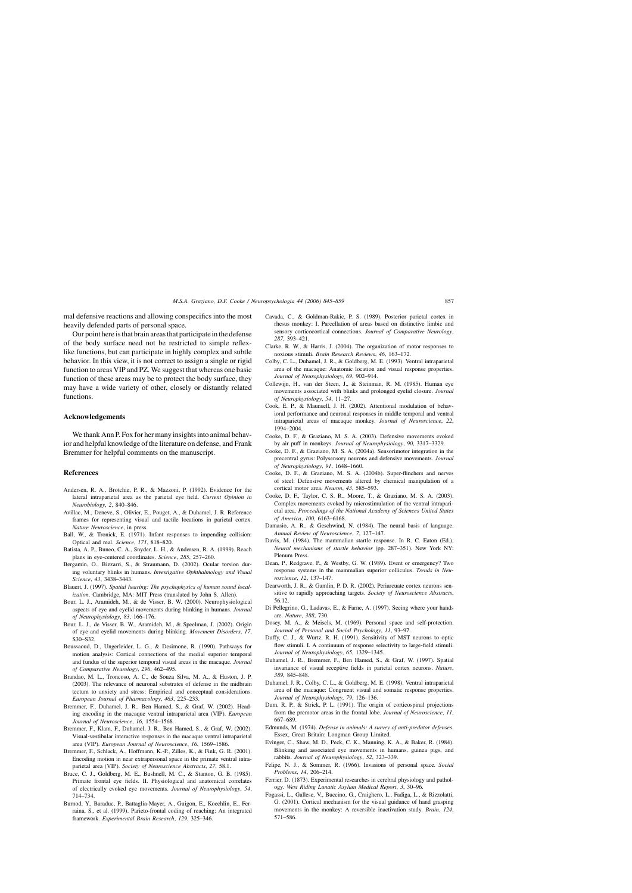<span id="page-12-0"></span>mal defensive reactions and allowing conspecifics into the most heavily defended parts of personal space.

Our point here is that brain areas that participate in the defense of the body surface need not be restricted to simple reflexlike functions, but can participate in highly complex and subtle behavior. In this view, it is not correct to assign a single or rigid function to areas VIP and PZ. We suggest that whereas one basic function of these areas may be to protect the body surface, they may have a wide variety of other, closely or distantly related functions.

### **Acknowledgements**

We thank Ann P. Fox for her many insights into animal behavior and helpful knowledge of the literature on defense, and Frank Bremmer for helpful comments on the manuscript.

### **References**

- Andersen, R. A., Brotchie, P. R., & Mazzoni, P. (1992). Evidence for the lateral intraparietal area as the parietal eye field. *Current Opinion in Neurobiology*, *2*, 840–846.
- Avillac, M., Deneve, S., Olivier, E., Pouget, A., & Duhamel, J. R. Reference frames for representing visual and tactile locations in parietal cortex. *Nature Neuroscience*, in press.
- Ball, W., & Tronick, E. (1971). Infant responses to impending collision: Optical and real. *Science*, *171*, 818–820.
- Batista, A. P., Buneo, C. A., Snyder, L. H., & Andersen, R. A. (1999). Reach plans in eye-centered coordinates. *Science*, *285*, 257–260.
- Bergamin, O., Bizzarri, S., & Straumann, D. (2002). Ocular torsion during voluntary blinks in humans. *Investigative Ophthalmology and Visual Science*, *43*, 3438–3443.
- Blauert, J. (1997). *Spatial hearing: The psychophysics of human sound localization*. Cambridge, MA: MIT Press (translated by John S. Allen).
- Bour, L. J., Aramideh, M., & de Visser, B. W. (2000). Neurophysiological aspects of eye and eyelid movements during blinking in humans. *Journal of Neurophysiology*, *83*, 166–176.
- Bour, L. J., de Visser, B. W., Aramideh, M., & Speelman, J. (2002). Origin of eye and eyelid movements during blinking. *Movement Disorders*, *17*, S30–S32.
- Boussaoud, D., Ungerleider, L. G., & Desimone, R. (1990). Pathways for motion analysis: Cortical connections of the medial superior temporal and fundus of the superior temporal visual areas in the macaque. *Journal of Comparative Neurology*, *296*, 462–495.
- Brandao, M. L., Troncoso, A. C., de Souza Silva, M. A., & Huston, J. P. (2003). The relevance of neuronal substrates of defense in the midbrain tectum to anxiety and stress: Empirical and conceptual considerations. *European Journal of Pharmacology*, *463*, 225–233.
- Bremmer, F., Duhamel, J. R., Ben Hamed, S., & Graf, W. (2002). Heading encoding in the macaque ventral intraparietal area (VIP). *European Journal of Neuroscience*, *16*, 1554–1568.
- Bremmer, F., Klam, F., Duhamel, J. R., Ben Hamed, S., & Graf, W. (2002). Visual-vestibular interactive responses in the macaque ventral intraparietal area (VIP). *European Journal of Neuroscience*, *16*, 1569–1586.
- Bremmer, F., Schlack, A., Hoffmann, K.-P., Zilles, K., & Fink, G. R. (2001). Encoding motion in near extrapersonal space in the primate ventral intraparietal area (VIP). *Society of Neuroscience Abstracts*, *27*, 58.1.
- Bruce, C. J., Goldberg, M. E., Bushnell, M. C., & Stanton, G. B. (1985). Primate frontal eye fields. II. Physiological and anatomical correlates of electrically evoked eye movements. *Journal of Neurophysiology*, *54*, 714–734.
- Burnod, Y., Baraduc, P., Battaglia-Mayer, A., Guigon, E., Koechlin, E., Ferraina, S., et al. (1999). Parieto-frontal coding of reaching: An integrated framework. *Experimental Brain Research*, *129*, 325–346.
- Cavada, C., & Goldman-Rakic, P. S. (1989). Posterior parietal cortex in rhesus monkey: I. Parcellation of areas based on distinctive limbic and sensory corticocortical connections. *Journal of Comparative Neurology*, *287*, 393–421.
- Clarke, R. W., & Harris, J. (2004). The organization of motor responses to noxious stimuli. *Brain Research Reviews*, *46*, 163–172.
- Colby, C. L., Duhamel, J. R., & Goldberg, M. E. (1993). Ventral intraparietal area of the macaque: Anatomic location and visual response properties. *Journal of Neurophysiology*, *69*, 902–914.
- Collewijn, H., van der Steen, J., & Steinman, R. M. (1985). Human eye movements associated with blinks and prolonged eyelid closure. *Journal of Neurophysiology*, *54*, 11–27.
- Cook, E. P., & Maunsell, J. H. (2002). Attentional modulation of behavioral performance and neuronal responses in middle temporal and ventral intraparietal areas of macaque monkey. *Journal of Neuroscience*, *22*, 1994–2004.
- Cooke, D. F., & Graziano, M. S. A. (2003). Defensive movements evoked by air puff in monkeys. *Journal of Neurophysiology*, *90*, 3317–3329.
- Cooke, D. F., & Graziano, M. S. A. (2004a). Sensorimotor integration in the precentral gyrus: Polysensory neurons and defensive movements. *Journal of Neurophysiology*, *91*, 1648–1660.
- Cooke, D. F., & Graziano, M. S. A. (2004b). Super-flinchers and nerves of steel: Defensive movements altered by chemical manipulation of a cortical motor area. *Neuron*, *43*, 585–593.
- Cooke, D. F., Taylor, C. S. R., Moore, T., & Graziano, M. S. A. (2003). Complex movements evoked by microstimulation of the ventral intraparietal area. *Proceedings of the National Academy of Sciences United States of America*, *100*, 6163–6168.
- Damasio, A. R., & Geschwind, N. (1984). The neural basis of language. *Annual Review of Neuroscience*, *7*, 127–147.
- Davis, M. (1984). The mammalian startle response. In R. C. Eaton (Ed.), *Neural mechanisms of startle behavior* (pp. 287–351). New York NY: Plenum Press.
- Dean, P., Redgrave, P., & Westby, G. W. (1989). Event or emergency? Two response systems in the mammalian superior colliculus. *Trends in Neuroscience*, *12*, 137–147.
- Dearworth, J. R., & Gamlin, P. D. R. (2002). Periarcuate cortex neurons sensitive to rapidly approaching targets. *Society of Neuroscience Abstracts*, 56.12.
- Di Pellegrino, G., Ladavas, E., & Farne, A. (1997). Seeing where your hands are. *Nature*, *388*, 730.
- Dosey, M. A., & Meisels, M. (1969). Personal space and self-protection. *Journal of Personal and Social Psychology*, *11*, 93–97.
- Duffy, C. J., & Wurtz, R. H. (1991). Sensitivity of MST neurons to optic flow stimuli. I. A continuum of response selectivity to large-field stimuli. *Journal of Neurophysiology*, *65*, 1329–1345.
- Duhamel, J. R., Bremmer, F., Ben Hamed, S., & Graf, W. (1997). Spatial invariance of visual receptive fields in parietal cortex neurons. *Nature*, *389*, 845–848.
- Duhamel, J. R., Colby, C. L., & Goldberg, M. E. (1998). Ventral intraparietal area of the macaque: Congruent visual and somatic response properties. *Journal of Neurophysiology*, *79*, 126–136.
- Dum, R. P., & Strick, P. L. (1991). The origin of corticospinal projections from the premotor areas in the frontal lobe. *Journal of Neuroscience*, *11*, 667–689.
- Edmunds, M. (1974). *Defense in animals: A survey of anti-predator defenses*. Essex, Great Britain: Longman Group Limited.
- Evinger, C., Shaw, M. D., Peck, C. K., Manning, K. A., & Baker, R. (1984). Blinking and associated eye movements in humans, guinea pigs, and rabbits. *Journal of Neurophysiology*, *52*, 323–339.
- Felipe, N. J., & Sommer, R. (1966). Invasions of personal space. *Social Problems*, *14*, 206–214.
- Ferrier, D. (1873). Experimental researches in cerebral physiology and pathology. *West Riding Lunatic Asylum Medical Report*, *3*, 30–96.
- Fogassi, L., Gallese, V., Buccino, G., Craighero, L., Fadiga, L., & Rizzolatti, G. (2001). Cortical mechanism for the visual guidance of hand grasping movements in the monkey: A reversible inactivation study. *Brain*, *124*, 571–586.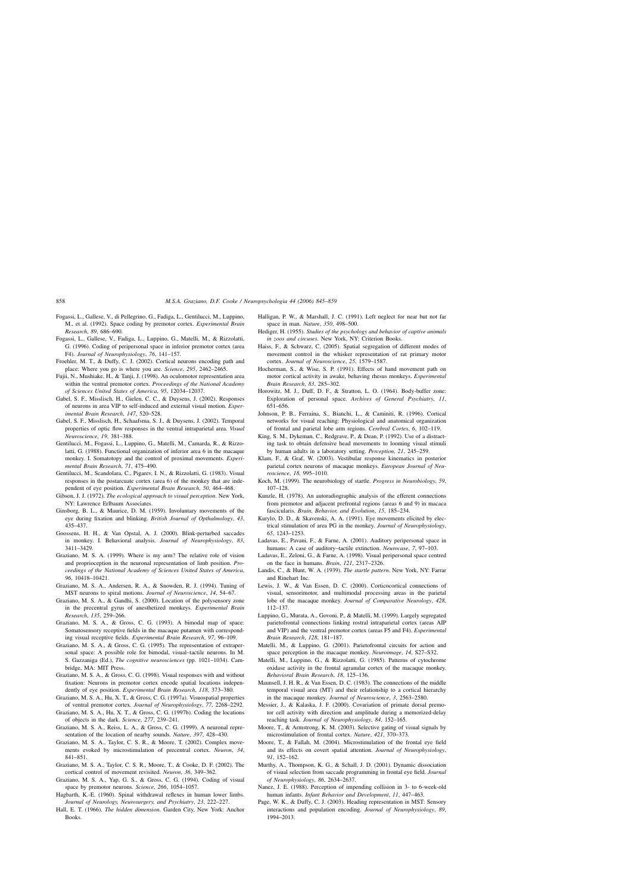- <span id="page-13-0"></span>Fogassi, L., Gallese, V., di Pellegrino, G., Fadiga, L., Gentilucci, M., Luppino, M., et al. (1992). Space coding by premotor cortex. *Experimental Brain Research*, *89*, 686–690.
- Fogassi, L., Gallese, V., Fadiga, L., Luppino, G., Matelli, M., & Rizzolatti, G. (1996). Coding of peripersonal space in inferior premotor cortex (area F4). *Journal of Neurophysiology*, *76*, 141–157.
- Froehler, M. T., & Duffy, C. J. (2002). Cortical neurons encoding path and place: Where you go is where you are. *Science*, *295*, 2462–2465.
- Fujii, N., Mushiake, H., & Tanji, J. (1998). An oculomotor representation area within the ventral premotor cortex. *Proceedings of the National Academy of Sciences United States of America*, *95*, 12034–12037.
- Gabel, S. F., Misslisch, H., Gielen, C. C., & Duysens, J. (2002). Responses of neurons in area VIP to self-induced and external visual motion. *Experimental Brain Research*, *147*, 520–528.
- Gabel, S. F., Misslisch, H., Schaafsma, S. J., & Duysens, J. (2002). Temporal properties of optic flow responses in the ventral intraparietal area. *Visual Neuroscience*, *19*, 381–388.
- Gentilucci, M., Fogassi, L., Luppino, G., Matelli, M., Camarda, R., & Rizzolatti, G. (1988). Functional organization of inferior area 6 in the macaque monkey. I. Somatotopy and the control of proximal movements. *Experimental Brain Research*, *71*, 475–490.
- Gentilucci, M., Scandolara, C., Pigarev, I. N., & Rizzolatti, G. (1983). Visual responses in the postarcuate cortex (area 6) of the monkey that are independent of eye position. *Experimental Brain Research*, *50*, 464–468.
- Gibson, J. J. (1972). *The ecological approach to visual perception*. New York, NY: Lawrence Erlbaum Associates.
- Ginsborg, B. L., & Maurice, D. M. (1959). Involuntary movements of the eye during fixation and blinking. *British Journal of Opthalmology*, *43*, 435–437.
- Goossens, H. H., & Van Opstal, A. J. (2000). Blink-perturbed saccades in monkey. I. Behavioral analysis. *Journal of Neurophysiology*, *83*, 3411–3429.
- Graziano, M. S. A. (1999). Where is my arm? The relative role of vision and proprioception in the neuronal representation of limb position. *Proceedings of the National Academy of Sciences United States of America*, *96*, 10418–10421.
- Graziano, M. S. A., Andersen, R. A., & Snowden, R. J. (1994). Tuning of MST neurons to spiral motions. *Journal of Neuroscience*, *14*, 54–67.
- Graziano, M. S. A., & Gandhi, S. (2000). Location of the polysensory zone in the precentral gyrus of anesthetized monkeys. *Experimental Brain Research*, *135*, 259–266.
- Graziano, M. S. A., & Gross, C. G. (1993). A bimodal map of space: Somatosensory receptive fields in the macaque putamen with corresponding visual receptive fields. *Experimental Brain Research*, *97*, 96–109.
- Graziano, M. S. A., & Gross, C. G. (1995). The representation of extrapersonal space: A possible role for bimodal, visual–tactile neurons. In M. S. Gazzaniga (Ed.), *The cognitive neurosciences* (pp. 1021–1034). Cambridge, MA: MIT Press.
- Graziano, M. S. A., & Gross, C. G. (1998). Visual responses with and without fixation: Neurons in premotor cortex encode spatial locations independently of eye position. *Experimental Brain Research*, *118*, 373–380.
- Graziano, M. S. A., Hu, X. T., & Gross, C. G. (1997a). Visuospatial properties of ventral premotor cortex. *Journal of Neurophysiology*, *77*, 2268–2292.
- Graziano, M. S. A., Hu, X. T., & Gross, C. G. (1997b). Coding the locations of objects in the dark. *Science*, *277*, 239–241.
- Graziano, M. S. A., Reiss, L. A., & Gross, C. G. (1999). A neuronal representation of the location of nearby sounds. *Nature*, *397*, 428–430.
- Graziano, M. S. A., Taylor, C. S. R., & Moore, T. (2002). Complex movements evoked by microstimulation of precentral cortex. *Neuron*, *34*, 841–851.
- Graziano, M. S. A., Taylor, C. S. R., Moore, T., & Cooke, D. F. (2002). The cortical control of movement revisited. *Neuron*, *36*, 349–362.
- Graziano, M. S. A., Yap, G. S., & Gross, C. G. (1994). Coding of visual space by premotor neurons. *Science*, *266*, 1054–1057.
- Hagbarth, K.-E. (1960). Spinal withdrawal reflexes in human lower limbs. *Journal of Neurology, Neurosurgery, and Psychiatry*, *23*, 222–227.
- Hall, E. T. (1966). *The hidden dimension*. Garden City, New York: Anchor Books.
- Halligan, P. W., & Marshall, J. C. (1991). Left neglect for near but not far space in man. *Nature*, *350*, 498–500.
- Hediger, H. (1955). *Studies of the psychology and behavior of captive animals in zoos and circuses*. New York, NY: Criterion Books.
- Haiss, F., & Schwarz, C. (2005). Spatial segregation of different modes of movement control in the whisker representation of rat primary motor cortex. *Journal of Neuroscience*, *25*, 1579–1587.
- Hocherman, S., & Wise, S. P. (1991). Effects of hand movement path on motor cortical activity in awake, behaving rhesus monkeys. *Experimental Brain Research*, *83*, 285–302.
- Horowitz, M. J., Duff, D. F., & Stratton, L. O. (1964). Body-buffer zone: Exploration of personal space. *Archives of General Psychiatry*, *11*, 651–656.
- Johnson, P. B., Ferraina, S., Bianchi, L., & Caminiti, R. (1996). Cortical networks for visual reaching: Physiological and anatomical organization of frontal and parietal lobe arm regions. *Cerebral Cortex*, *6*, 102–119.
- King, S. M., Dykeman, C., Redgrave, P., & Dean, P. (1992). Use of a distracting task to obtain defensive head movements to looming visual stimuli by human adults in a laboratory setting. *Perception*, *21*, 245–259.
- Klam, F., & Graf, W. (2003). Vestibular response kinematics in posterior parietal cortex neurons of macaque monkeys. *European Journal of Neuroscience*, *18*, 995–1010.
- Koch, M. (1999). The neurobiology of startle. *Progress in Neurobiology*, *59*, 107–128.
- Kunzle, H. (1978). An autoradiographic analysis of the efferent connections from premotor and adjacent prefrontal regions (areas 6 and 9) in macaca fascicularis. *Brain, Behavior, and Evolution*, *15*, 185–234.
- Kurylo, D. D., & Skavenski, A. A. (1991). Eye movements elicited by electrical stimulation of area PG in the monkey. *Journal of Neurophysiology*, *65*, 1243–1253.
- Ladavas, E., Pavani, F., & Farne, A. (2001). Auditory peripersonal space in humans: A case of auditory–tactile extinction. *Neurocase*, *7*, 97–103.
- Ladavas, E., Zeloni, G., & Farne, A. (1998). Visual peripersonal space centred on the face in humans. *Brain*, *121*, 2317–2326.
- Landis, C., & Hunt, W. A. (1939). *The startle pattern*. New York, NY: Farrar and Rinehart Inc.
- Lewis, J. W., & Van Essen, D. C. (2000). Corticocortical connections of visual, sensorimotor, and multimodal processing areas in the parietal lobe of the macaque monkey. *Journal of Comparative Neurology*, *428*, 112–137.
- Luppino, G., Murata, A., Govoni, P., & Matelli, M. (1999). Largely segregated parietofrontal connections linking rostral intraparietal cortex (areas AIP and VIP) and the ventral premotor cortex (areas F5 and F4). *Experimental Brain Research*, *128*, 181–187.
- Matelli, M., & Luppino, G. (2001). Parietofrontal circuits for action and space perception in the macaque monkey. *Neuroimage*, *14*, S27–S32.
- Matelli, M., Luppino, G., & Rizzolatti, G. (1985). Patterns of cytochrome oxidase activity in the frontal agranular cortex of the macaque monkey. *Behavioral Brain Research*, *18*, 125–136.
- Maunsell, J. H. R., & Van Essen, D. C. (1983). The connections of the middle temporal visual area (MT) and their relationship to a cortical hierarchy in the macaque monkey. *Journal of Neuroscience*, *3*, 2563–2580.
- Messier, J., & Kalaska, J. F. (2000). Covariation of primate dorsal premotor cell activity with direction and amplitude during a memorized-delay reaching task. *Journal of Neurophysiology*, *84*, 152–165.
- Moore, T., & Armstrong, K. M. (2003). Selective gating of visual signals by microstimulation of frontal cortex. *Nature*, *421*, 370–373.
- Moore, T., & Fallah, M. (2004). Microstimulation of the frontal eye field and its effects on covert spatial attention. *Journal of Neurophysiology*, *91*, 152–162.
- Murthy, A., Thompson, K. G., & Schall, J. D. (2001). Dynamic dissociation of visual selection from saccade programming in frontal eye field. *Journal of Neurophysiology*, *86*, 2634–2637.
- Nanez, J. E. (1988). Perception of impending collision in 3- to 6-week-old human infants. *Infant Behavior and Development*, *11*, 447–463.
- Page, W. K., & Duffy, C. J. (2003). Heading representation in MST: Sensory interactions and population encoding. *Journal of Neurophysiology*, *89*, 1994–2013.